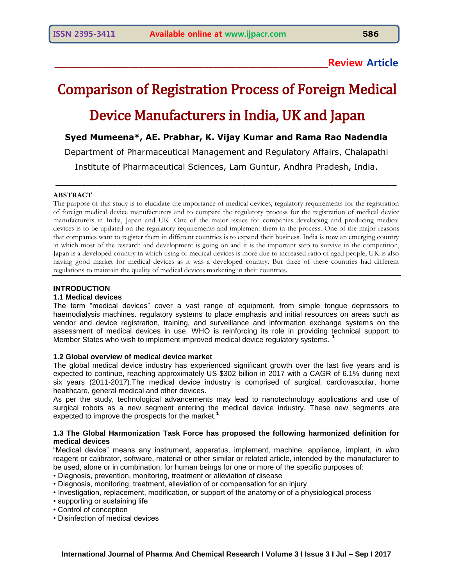# **\_\_\_\_\_\_\_\_\_\_\_\_\_\_\_\_\_\_\_\_\_\_\_\_\_\_\_\_\_\_\_\_\_\_\_\_\_\_\_\_\_\_\_\_\_\_\_\_\_\_\_\_\_\_\_\_\_\_\_\_\_\_Review Article**

# Comparison of Registration Process of Foreign Medical Device Manufacturers in India, UK and Japan

# **Syed Mumeena\*, AE. Prabhar, K. Vijay Kumar and Rama Rao Nadendla**

Department of Pharmaceutical Management and Regulatory Affairs, Chalapathi Institute of Pharmaceutical Sciences, Lam Guntur, Andhra Pradesh, India.

\_\_\_\_\_\_\_\_\_\_\_\_\_\_\_\_\_\_\_\_\_\_\_\_\_\_\_\_\_\_\_\_\_\_\_\_\_\_\_\_\_\_\_\_\_\_\_\_\_\_\_\_\_\_\_\_\_\_\_\_\_\_\_\_\_\_

#### **ABSTRACT**

The purpose of this study is to elucidate the importance of medical devices, regulatory requirements for the registration of foreign medical device manufacturers and to compare the regulatory process for the registration of medical device manufacturers in India, Japan and UK. One of the major issues for companies developing and producing medical devices is to be updated on the regulatory requirements and implement them in the process. One of the major reasons that companies want to register them in different countries is to expand their business. India is now an emerging country in which most of the research and development is going on and it is the important step to survive in the competition, Japan is a developed country in which using of medical devices is more due to increased ratio of aged people, UK is also having good market for medical devices as it was a developed country. But three of these countries had different regulations to maintain the quality of medical devices marketing in their countries.

## **INTRODUCTION**

#### **1.1 Medical devices**

The term "medical devices" cover a vast range of equipment, from simple tongue depressors to haemodialysis machines. regulatory systems to place emphasis and initial resources on areas such as vendor and device registration, training, and surveillance and information exchange systems on the assessment of medical devices in use. WHO is reinforcing its role in providing technical support to Member States who wish to implement improved medical device regulatory systems. **<sup>1</sup>**

#### **1.2 Global overview of medical device market**

The global medical device industry has experienced significant growth over the last five years and is expected to continue, reaching approximately US \$302 billion in 2017 with a CAGR of 6.1% during next six years (2011-2017).The medical device industry is comprised of surgical, cardiovascular, home healthcare, general medical and other devices.

As per the study, technological advancements may lead to nanotechnology applications and use of surgical robots as a new segment entering the medical device industry. These new segments are expected to improve the prospects for the market.

#### **1.3 The Global Harmonization Task Force has proposed the following harmonized definition for medical devices**

"Medical device" means any instrument, apparatus, implement, machine, appliance, implant, *in vitro*  reagent or calibrator, software, material or other similar or related article, intended by the manufacturer to be used, alone or in combination, for human beings for one or more of the specific purposes of:

- Diagnosis, prevention, monitoring, treatment or alleviation of disease
- Diagnosis, monitoring, treatment, alleviation of or compensation for an injury
- Investigation, replacement, modification, or support of the anatomy or of a physiological process
- supporting or sustaining life
- Control of conception
- Disinfection of medical devices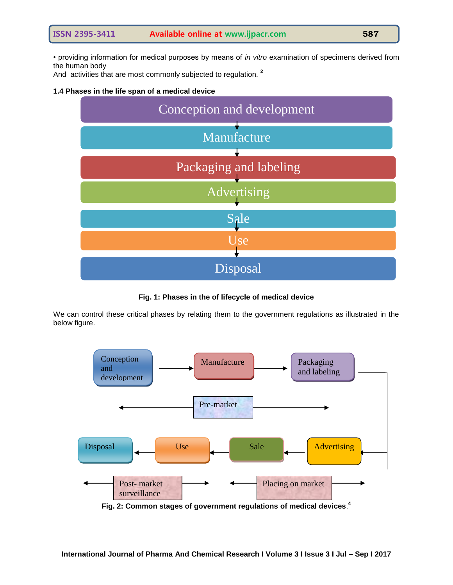• providing information for medical purposes by means of *in vitro* examination of specimens derived from the human body

And activities that are most commonly subjected to regulation. **<sup>2</sup>**

#### **1.4 Phases in the life span of a medical device**



**Fig. 1: Phases in the of lifecycle of medical device**

We can control these critical phases by relating them to the government regulations as illustrated in the below figure.



**Fig. 2: Common stages of government regulations of medical devices**. **4**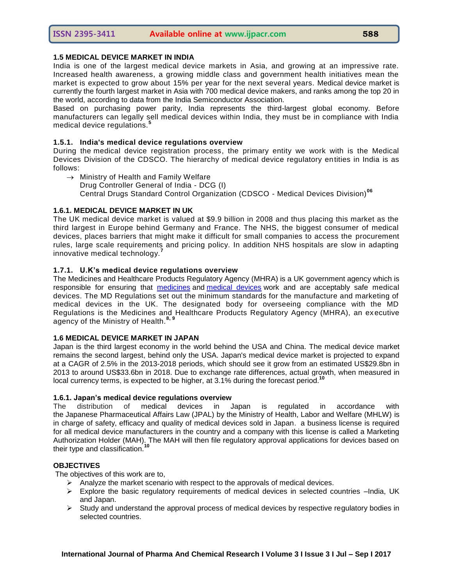#### **1.5 MEDICAL DEVICE MARKET IN INDIA**

India is one of the largest medical device markets in Asia, and growing at an impressive rate. Increased health awareness, a growing middle class and government health initiatives mean the market is expected to grow about 15% per year for the next several years. Medical device market is currently the fourth largest market in Asia with 700 medical device makers, and ranks among the top 20 in the world, according to data from the India Semiconductor Association.

Based on purchasing power parity, India represents the third-largest global economy. Before manufacturers can legally sell medical devices within India, they must be in compliance with India medical device regulations.<sup>5</sup>

#### **1.5.1. India's medical device regulations overview**

During the [medical device registration process,](http://www.emergogroup.com/resources/india-process-chart) the primary entity we work with is the Medical Devices Division of the CDSCO. The hierarchy of medical device regulatory entities in India is as follows:

 $\rightarrow$  Ministry of Health and Family Welfare Drug Controller General of India - DCG (I) Central Drugs Standard Control Organization (CDSCO - Medical Devices Division)**<sup>06</sup>**

#### **1.6.1. MEDICAL DEVICE MARKET IN UK**

The UK medical device market is valued at \$9.9 billion in 2008 and thus placing this market as the third largest in Europe behind Germany and France. The NHS, the biggest consumer of medical devices, places barriers that might make it difficult for small companies to access the procurement rules, large scale requirements and pricing policy. In addition NHS hospitals are slow in adapting innovative medical technology.**<sup>7</sup>**

#### **1.7.1. U.K's medical device regulations overview**

The Medicines and Healthcare Products Regulatory Agency (MHRA) is a UK government agency which is responsible for ensuring that [medicines](http://en.wikipedia.org/wiki/Medicine) and [medical devices](http://en.wikipedia.org/wiki/Medical_device) work and are acceptably safe medical devices. The MD Regulations set out the minimum standards for the manufacture and marketing of medical devices in the UK. The designated body for overseeing compliance with the MD Regulations is the Medicines and Healthcare Products Regulatory Agency (MHRA), an executive agency of the Ministry of Health.**8, 9**

#### **1.6 MEDICAL DEVICE MARKET IN JAPAN**

Japan is the third largest economy in the world behind the USA and China. The medical device market remains the second largest, behind only the USA. Japan's medical device market is projected to expand at a CAGR of 2.5% in the 2013-2018 periods, which should see it grow from an estimated US\$29.8bn in 2013 to around US\$33.6bn in 2018. Due to exchange rate differences, actual growth, when measured in local currency terms, is expected to be higher, at 3.1% during the forecast period.<sup>10</sup>

#### **1.6.1. Japan's medical device regulations overview**

The distribution of medical devices in Japan is regulated in accordance with the Japanese Pharmaceutical Affairs Law (JPAL) by the [Ministry of Health, Labor and Welfare \(MHLW\)](http://www.mhlw.go.jp/english/) is in charge of safety, efficacy and quality of medical devices sold in Japan. a business license is required for all medical device manufacturers in the country and a company with this license is called a Marketing Authorization Holder (MAH). The MAH will then file regulatory approval applications for devices based on their type and classification.**<sup>10</sup>**

#### **OBJECTIVES**

The objectives of this work are to,

- $\triangleright$  Analyze the market scenario with respect to the approvals of medical devices.
- $\triangleright$  Explore the basic regulatory requirements of medical devices in selected countries –India, UK and Japan.
- $\triangleright$  Study and understand the approval process of medical devices by respective regulatory bodies in selected countries.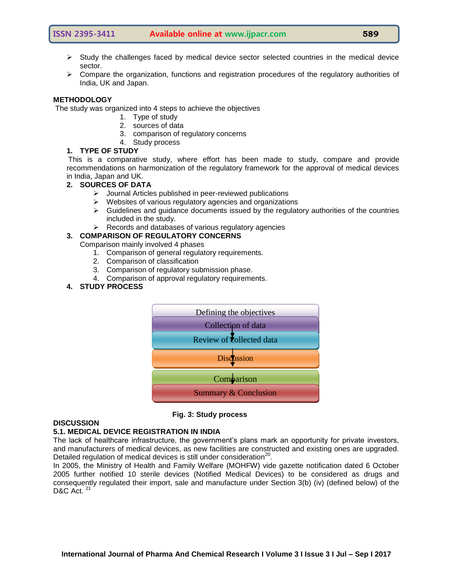- $\triangleright$  Study the challenges faced by medical device sector selected countries in the medical device sector.
- $\triangleright$  Compare the organization, functions and registration procedures of the regulatory authorities of India, UK and Japan.

#### **METHODOLOGY**

The study was organized into 4 steps to achieve the objectives

- 1. Type of study
- 2. sources of data
- 3. comparison of regulatory concerns
- 4. Study process

#### **1. TYPE OF STUDY**

This is a comparative study, where effort has been made to study, compare and provide recommendations on harmonization of the regulatory framework for the approval of medical devices in India, Japan and UK.

#### **2. SOURCES OF DATA**

- Journal Articles published in peer-reviewed publications
- $\triangleright$  Websites of various regulatory agencies and organizations
- $\triangleright$  Guidelines and quidance documents issued by the regulatory authorities of the countries included in the study.
- $\triangleright$  Records and databases of various regulatory agencies

#### **3. COMPARISON OF REGULATORY CONCERNS**

Comparison mainly involved 4 phases

- 1. Comparison of general regulatory requirements.
- 2. Comparison of classification
- 3. Comparison of regulatory submission phase.
- 4. Comparison of approval regulatory requirements.

#### **4. STUDY PROCESS**



#### **DISCUSSION**

#### **5.1. MEDICAL DEVICE REGISTRATION IN INDIA**

The lack of healthcare infrastructure, the government"s plans mark an opportunity for private investors, and manufacturers of medical devices, as new facilities are constructed and existing ones are upgraded. Detailed regulation of medical devices is still under consideration $^{20}$ .

 **Fig. 3: Study process**

In 2005, the Ministry of Health and Family Welfare (MOHFW) vide gazette notification dated 6 October 2005 further notified 10 sterile devices (Notified Medical Devices) to be considered as drugs and consequently regulated their import, sale and manufacture under Section 3(b) (iv) (defined below) of the D&C Act. <sup>21</sup>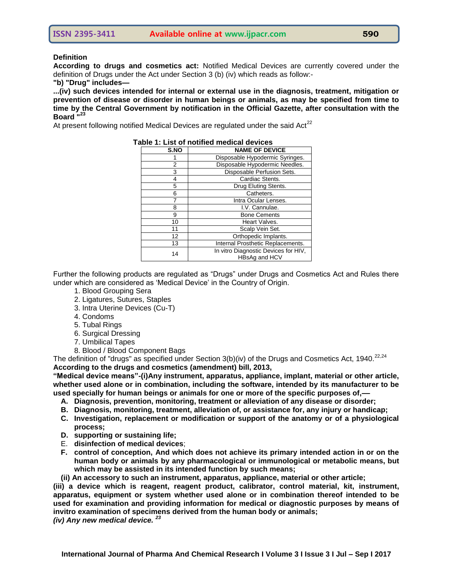#### **Definition**

**According to drugs and cosmetics act:** Notified Medical Devices are currently covered under the definition of Drugs under the Act under Section 3 (b) (iv) which reads as follow:-

## **"b) "Drug" includes—**

**...(iv) such devices intended for internal or external use in the diagnosis, treatment, mitigation or prevention of disease or disorder in human beings or animals, as may be specified from time to time by the Central Government by notification in the Official Gazette, after consultation with the Board "<sup>23</sup>**

At present following notified Medical Devices are regulated under the said  $Act^{22}$ 

| S.NO | <b>NAME OF DEVICE</b>                                 |  |  |
|------|-------------------------------------------------------|--|--|
|      | Disposable Hypodermic Syringes.                       |  |  |
| 2    | Disposable Hypodermic Needles.                        |  |  |
| 3    | Disposable Perfusion Sets.                            |  |  |
| 4    | Cardiac Stents.                                       |  |  |
| 5    | Drug Eluting Stents.                                  |  |  |
| 6    | Catheters.                                            |  |  |
|      | Intra Ocular Lenses.                                  |  |  |
| 8    | I.V. Cannulae.                                        |  |  |
| 9    | <b>Bone Cements</b>                                   |  |  |
| 10   | Heart Valves.                                         |  |  |
| 11   | Scalp Vein Set.                                       |  |  |
| 12   | Orthopedic Implants.                                  |  |  |
| 13   | Internal Prosthetic Replacements.                     |  |  |
| 14   | In vitro Diagnostic Devices for HIV,<br>HBsAg and HCV |  |  |

#### **Table 1: List of notified medical devices**

Further the following products are regulated as "Drugs" under Drugs and Cosmetics Act and Rules there under which are considered as "Medical Device" in the Country of Origin.

- 1. Blood Grouping Sera
- 2. Ligatures, Sutures, Staples
- 3. Intra Uterine Devices (Cu-T)
- 4. Condoms
- 5. Tubal Rings
- 6. Surgical Dressing
- 7. Umbilical Tapes
- 8. Blood / Blood Component Bags

The definition of "drugs" as specified under Section  $3(b)(iv)$  of the Drugs and Cosmetics Act, 1940.<sup>22,24</sup> **According to the drugs and cosmetics (amendment) bill, 2013,**

**―Medical device means‖-(i)Any instrument, apparatus, appliance, implant, material or other article, whether used alone or in combination, including the software, intended by its manufacturer to be used specially for human beings or animals for one or more of the specific purposes of,––**

- **A. Diagnosis, prevention, monitoring, treatment or alleviation of any disease or disorder;**
- **B. Diagnosis, monitoring, treatment, alleviation of, or assistance for, any injury or handicap;**
- **C. Investigation, replacement or modification or support of the anatomy or of a physiological process;**
- **D. supporting or sustaining life;**
- E. **disinfection of medical devices**;
- **F. control of conception, And which does not achieve its primary intended action in or on the human body or animals by any pharmacological or immunological or metabolic means, but which may be assisted in its intended function by such means;**

**(ii) An accessory to such an instrument, apparatus, appliance, material or other article;**

**(iii) a device which is reagent, reagent product, calibrator, control material, kit, instrument, apparatus, equipment or system whether used alone or in combination thereof intended to be used for examination and providing information for medical or diagnostic purposes by means of invitro examination of specimens derived from the human body or animals;**

*(iv) Any new medical device. <sup>23</sup>*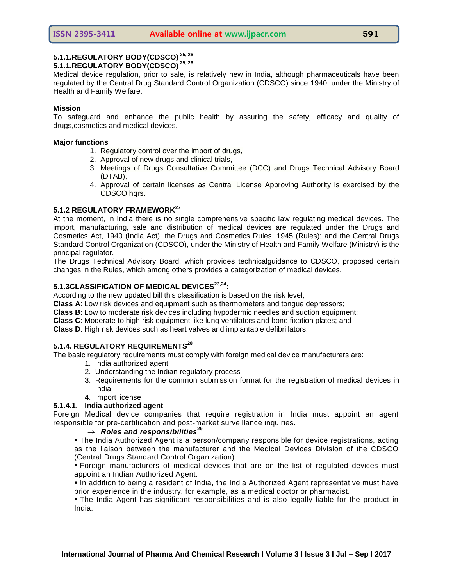# **5.1.1.REGULATORY BODY(CDSCO) 25, 26**

# **5.1.1.REGULATORY BODY(CDSCO) 25, 26**

Medical device regulation, prior to sale, is relatively new in India, although pharmaceuticals have been regulated by the Central Drug Standard Control Organization (CDSCO) since 1940, under the Ministry of Health and Family Welfare.

#### **Mission**

To safeguard and enhance the public health by assuring the safety, efficacy and quality of drugs,cosmetics and medical devices.

#### **Major functions**

- 1. Regulatory control over the import of drugs,
- 2. Approval of new drugs and clinical trials,
- 3. Meetings of Drugs Consultative Committee (DCC) and Drugs Technical Advisory Board (DTAB),
- 4. Approval of certain licenses as Central License Approving Authority is exercised by the CDSCO hqrs.

## **5.1.2 REGULATORY FRAMEWORK<sup>27</sup>**

At the moment, in India there is no single comprehensive specific law regulating medical devices. The import, manufacturing, sale and distribution of medical devices are regulated under the Drugs and Cosmetics Act, 1940 (India Act), the Drugs and Cosmetics Rules, 1945 (Rules); and the Central Drugs Standard Control Organization (CDSCO), under the Ministry of Health and Family Welfare (Ministry) is the principal regulator.

The Drugs Technical Advisory Board, which provides technicalguidance to CDSCO, proposed certain changes in the Rules, which among others provides a categorization of medical devices.

## **5.1.3CLASSIFICATION OF MEDICAL DEVICES23,24:**

According to the new updated bill this classification is based on the risk level,

- **Class A**: Low risk devices and equipment such as thermometers and tongue depressors;
- **Class B**: Low to moderate risk devices including hypodermic needles and suction equipment;
- **Class C**: Moderate to high risk equipment like lung ventilators and bone fixation plates; and

**Class D**: High risk devices such as heart valves and implantable defibrillators.

## **5.1.4. REGULATORY REQUIREMENTS<sup>28</sup>**

The basic regulatory requirements must comply with foreign medical device manufacturers are:

- 1. India authorized agent
- 2. Understanding the Indian regulatory process
- 3. Requirements for the common submission format for the registration of medical devices in India
- 4. Import license

#### **5.1.4.1. India authorized agent**

Foreign Medical device companies that require registration in India must appoint an agent responsible for pre-certification and post-market surveillance inquiries.

## $\rightarrow$  Roles and responsibilities<sup>29</sup>

 The India Authorized Agent is a person/company responsible for device registrations, acting as the liaison between the manufacturer and the Medical Devices Division of the CDSCO (Central Drugs Standard Control Organization).

 Foreign manufacturers of medical devices that are on the list of regulated devices must appoint an Indian Authorized Agent.

 In addition to being a resident of India, the India Authorized Agent representative must have prior experience in the industry, for example, as a medical doctor or pharmacist.

 The India Agent has significant responsibilities and is also legally liable for the product in India.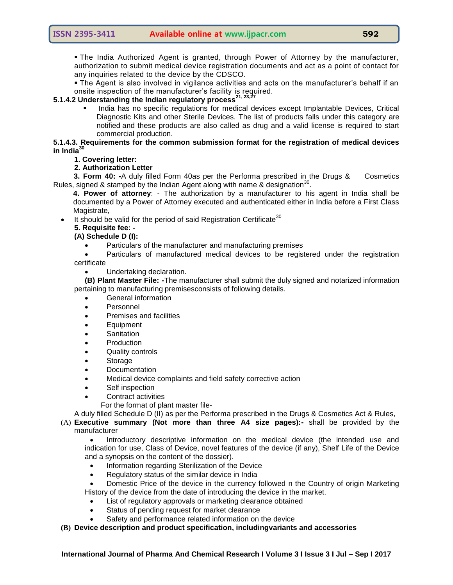The India Authorized Agent is granted, through Power of Attorney by the manufacturer, authorization to submit medical device registration documents and act as a point of contact for any inquiries related to the device by the CDSCO.

 The Agent is also involved in vigilance activities and acts on the manufacturer"s behalf if an onsite inspection of the manufacturer"s facility is required.

## **5.1.4.2 Understanding the Indian regulatory process21, 23,27**

 India has no specific regulations for medical devices except Implantable Devices, Critical Diagnostic Kits and other Sterile Devices. The list of products falls under this [category are](http://www.i3cglobal.com/medical-device/schedule-m-III.html)  [notified](http://www.i3cglobal.com/medical-device/schedule-m-III.html) and these products are also called as drug and a valid license is required to start commercial production.

#### **5.1.4.3. Requirements for the common submission format for the registration of medical devices in India<sup>30</sup>**

## **1. Covering letter:**

## **2. Authorization Letter**

 **3. Form 40: -**A duly filled Form 40as per the Performa prescribed in the Drugs & Cosmetics Rules, signed & stamped by the Indian Agent along with name & designation<sup>30</sup>.

**4. Power of attorney**: - The authorization by a manufacturer to his agent in India shall be documented by a Power of Attorney executed and authenticated either in India before a First Class Magistrate,

It should be valid for the period of said Registration Certificate<sup>30</sup>

## **5. Requisite fee: -**

# **(A) Schedule D (I):**

Particulars of the manufacturer and manufacturing premises

 Particulars of manufactured medical devices to be registered under the registration certificate

Undertaking declaration.

**(B) Plant Master File: -**The manufacturer shall submit the duly signed and notarized information pertaining to manufacturing premisesconsists of following details.

- General information
- Personnel
- Premises and facilities
- Equipment
- **Sanitation**
- **Production**
- Quality controls
- Storage
- **Documentation**
- Medical device complaints and field safety corrective action
- Self inspection
- Contract activities

For the format of plant master file-

A duly filled Schedule D (II) as per the Performa prescribed in the Drugs & Cosmetics Act & Rules,

(A) **Executive summary (Not more than three A4 size pages):-** shall be provided by the manufacturer

 Introductory descriptive information on the medical device (the intended use and indication for use, Class of Device, novel features of the device (if any), Shelf Life of the Device and a synopsis on the content of the dossier).

- Information regarding Sterilization of the Device
- Regulatory status of the similar device in India
- Domestic Price of the device in the currency followed n the Country of origin Marketing History of the device from the date of introducing the device in the market.
	- List of regulatory approvals or marketing clearance obtained
	- Status of pending request for market clearance
- Safety and performance related information on the device
- **(B) Device description and product specification, includingvariants and accessories**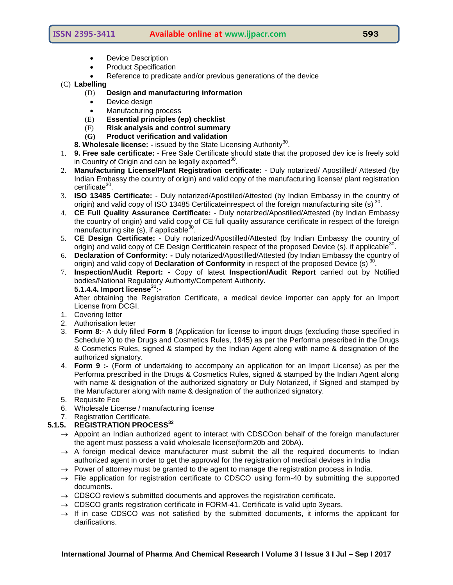- Device Description
- Product Specification
- Reference to predicate and/or previous generations of the device
- (C) **Labelling**

## (D) **Design and manufacturing information**

- Device design
- Manufacturing process
- (E) **Essential principles (ep) checklist**
- (F) **Risk analysis and control summary**
- **(G) Product verification and validation**
- **8. Wholesale license: -** issued by the State Licensing Authority<sup>30</sup>.
- 1. **9. Free sale certificate:** Free Sale Certificate should state that the proposed dev ice is freely sold in Country of Origin and can be legally exported $^{30}$ .
- 2. **Manufacturing License/Plant Registration certificate:** Duly notarized/ Apostilled/ Attested (by Indian Embassy the country of origin) and valid copy of the manufacturing license/ plant registration certificate<sup>30</sup> .
- 3. **ISO 13485 Certificate:** Duly notarized/Apostilled/Attested (by Indian Embassy in the country of origin) and valid copy of ISO 13485 Certificateinrespect of the foreign manufacturing site (s)  $^{30}$ .
- 4. **CE Full Quality Assurance Certificate:** Duly notarized/Apostilled/Attested (by Indian Embassy the country of origin) and valid copy of CE full quality assurance certificate in respect of the foreign manufacturing site (s), if applicable<sup>30</sup>.
- 5. **CE Design Certificate:** Duly notarized/Apostilled/Attested (by Indian Embassy the country of origin) and valid copy of CE Design Certificatein respect of the proposed Device (s), if applicable<sup>30</sup> .
- 6. **Declaration of Conformity: -** Duly notarized/Apostilled/Attested (by Indian Embassy the country of origin) and valid copy of **Declaration of Conformity** in respect of the proposed Device (s) <sup>30</sup>.
- 7. **Inspection/Audit Report: -** Copy of latest **Inspection/Audit Report** carried out by Notified bodies/National Regulatory Authority/Competent Authority. **5.1.4.4. Import license<sup>31</sup>:-**

After obtaining the Registration Certificate, a medical device importer can apply for an Import License from DCGI.

- 1. Covering letter
- 2. Authorisation letter
- 3. **Form 8**:- A duly filled **Form 8** (Application for license to import drugs (excluding those specified in Schedule X) to the Drugs and Cosmetics Rules, 1945) as per the Performa prescribed in the Drugs & Cosmetics Rules, signed & stamped by the Indian Agent along with name & designation of the authorized signatory.
- 4. **Form 9 :-** (Form of undertaking to accompany an application for an Import License) as per the Performa prescribed in the Drugs & Cosmetics Rules, signed & stamped by the Indian Agent along with name & designation of the authorized signatory or Duly Notarized, if Signed and stamped by the Manufacturer along with name & designation of the authorized signatory.
- 5. Requisite Fee
- 6. Wholesale License / manufacturing license
- 7. Registration Certificate.

## **5.1.5. REGISTRATION PROCESS<sup>32</sup>**

- $\rightarrow$  Appoint an Indian authorized agent to interact with CDSCOon behalf of the foreign manufacturer the agent must possess a valid wholesale license(form20b and 20bA).
- $\rightarrow$  A foreign medical device manufacturer must submit the all the required documents to Indian authorized agent in order to get the approval for the registration of medical devices in India
- $\rightarrow$  Power of attorney must be granted to the agent to manage the registration process in India.
- $\rightarrow$  File application for registration certificate to CDSCO using form-40 by submitting the supported documents.
- $\rightarrow$  CDSCO review's submitted documents and approves the registration certificate.
- $\rightarrow$  CDSCO grants registration certificate in FORM-41. Certificate is valid upto 3 years.
- $\rightarrow$  If in case CDSCO was not satisfied by the submitted documents, it informs the applicant for clarifications.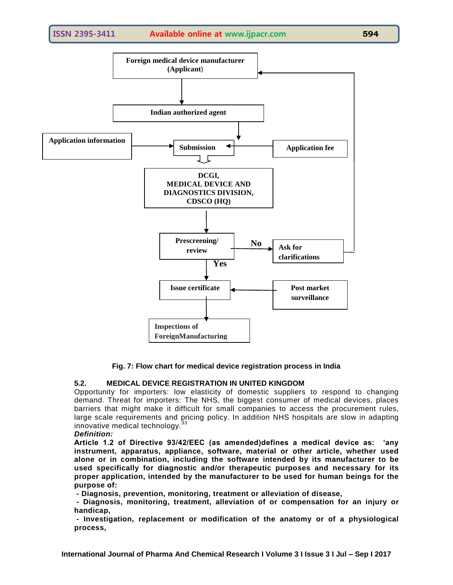

**Fig. 7: Flow chart for medical device registration process in India**

## **5.2. MEDICAL DEVICE REGISTRATION IN UNITED KINGDOM**

Opportunity for importers: low elasticity of domestic suppliers to respond to changing demand. Threat for importers: The NHS, the biggest consumer of medical devices, places barriers that might make it difficult for small companies to access the procurement rules, large scale requirements and pricing policy. In addition NHS hospitals are slow in adapting innovative medical technology. $\frac{3}{3}$ 

#### *Definition:*

**Article 1.2 of Directive 93/42/EEC (as amended)defines a medical device as: ‗any instrument, apparatus, appliance, software, material or other article, whether used alone or in combination, including the software intended by its manufacturer to be used specifically for diagnostic and/or therapeutic purposes and necessary for its proper application, intended by the manufacturer to be used for human beings for the purpose of:** 

**- Diagnosis, prevention, monitoring, treatment or alleviation of disease,** 

**- Diagnosis, monitoring, treatment, alleviation of or compensation for an injury or handicap,** 

**- Investigation, replacement or modification of the anatomy or of a physiological process,**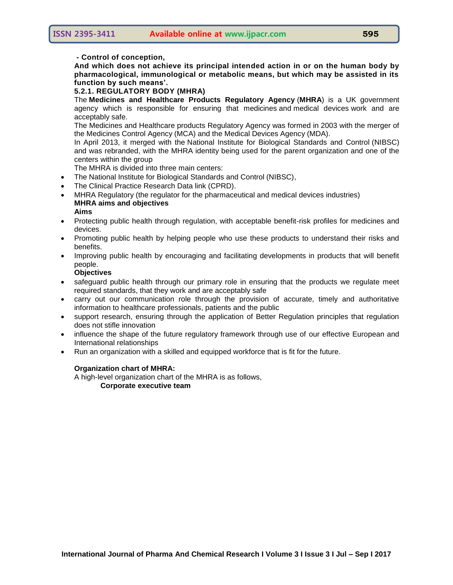**- Control of conception,** 

**And which does not achieve its principal intended action in or on the human body by pharmacological, immunological or metabolic means, but which may be assisted in its function by such means'.**

#### **5.2.1. REGULATORY BODY (MHRA)**

The **Medicines and Healthcare Products Regulatory Agency** (**MHRA**) is a UK government agency which is responsible for ensuring that [medicines](http://en.wikipedia.org/wiki/Medicine) and [medical devices](http://en.wikipedia.org/wiki/Medical_device) work and are acceptably safe.

The Medicines and Healthcare products Regulatory Agency was formed in 2003 with the merger of the Medicines Control Agency (MCA) and the Medical Devices Agency (MDA).

In April 2013, it merged with the [National Institute for Biological Standards and Control](http://en.wikipedia.org/wiki/National_Institute_for_Biological_Standards_and_Control) (NIBSC) and was rebranded, with the MHRA identity being used for the parent organization and one of the centers within the group

The MHRA is divided into three main centers:

- The [National Institute for Biological Standards and Control \(NIBSC\),](http://www.nibsc.org/)
- The [Clinical Practice Research Data link \(CPRD\).](http://www.cprd.com/)
- MHRA Regulatory (the regulator for the pharmaceutical and medical devices industries) **MHRA aims and objectives**
	- **Aims**
- Protecting public health through regulation, with acceptable benefit-risk profiles for medicines and devices.
- Promoting public health by helping people who use these products to understand their risks and benefits.
- Improving public health by encouraging and facilitating developments in products that will benefit people.

#### **Objectives**

- safeguard public health through our primary role in ensuring that the products we regulate meet required standards, that they work and are acceptably safe
- carry out our communication role through the provision of accurate, timely and authoritative information to healthcare professionals, patients and the public
- support research, ensuring through the application of Better Regulation principles that regulation does not stifle innovation
- influence the shape of the future regulatory framework through use of our effective European and International relationships
- Run an organization with a skilled and equipped workforce that is fit for the future.

#### **Organization chart of MHRA:**

A high-level organization chart of the MHRA is as follows, **Corporate executive team**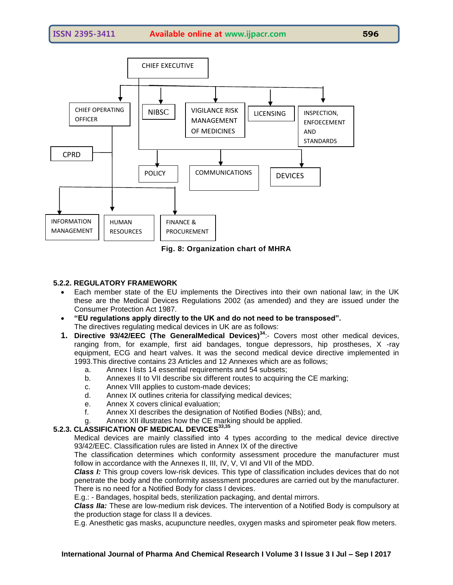

**Fig. 8: Organization chart of MHRA**

#### **5.2.2. REGULATORY FRAMEWORK**

- Each member state of the EU implements the Directives into their own national law; in the UK these are the Medical Devices Regulations 2002 (as amended) and they are issued under the Consumer Protection Act 1987.
- **―EU regulations apply directly to the UK and do not need to be transposed‖.** The directives regulating medical devices in UK are as follows:
- **1. Directive 93/42/EEC (The GeneralMedical Devices)<sup>34</sup>**:- Covers most other medical devices, ranging from, for example, first aid bandages, tongue depressors, hip prostheses, X -ray equipment, ECG and heart valves. It was the second medical device directive implemented in 1993.This directive contains 23 Articles and 12 Annexes which are as follows;
	- a. Annex I lists 14 essential requirements and 54 subsets;
	- b. Annexes II to VII describe six different routes to acquiring the CE marking;
	- c. Annex VIII applies to custom-made devices;
	- d. Annex IX outlines criteria for classifying medical devices;
	- e. Annex X covers clinical evaluation;
	- f. Annex XI describes the designation of Notified Bodies (NBs); and,
	- Annex XII illustrates how the CE marking should be applied.

## **5.2.3. CLASSIFICATION OF MEDICAL DEVICES33,35**

Medical devices are mainly classified into 4 types according to the medical device directive 93/42/EEC. Classification rules are listed in Annex IX of the directive

The classification determines which conformity assessment procedure the manufacturer must follow in accordance with the Annexes II, III, IV, V, VI and VII of the MDD.

*Class I:* This group covers low-risk devices. This type of classification includes devices that do not penetrate the body and the conformity assessment procedures are carried out by the manufacturer. There is no need for a Notified Body for class I devices.

E.g.: - Bandages, hospital beds, sterilization packaging, and dental mirrors.

*Class IIa:* These are low-medium risk devices. The intervention of a Notified Body is compulsory at the production stage for class II a devices.

E.g. Anesthetic gas masks, acupuncture needles, oxygen masks and spirometer peak flow meters.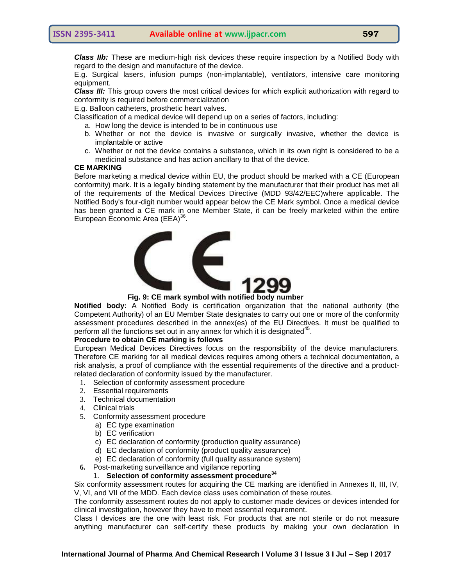*Class IIb:* These are medium-high risk devices these require inspection by a Notified Body with regard to the design and manufacture of the device.

E.g. Surgical lasers, infusion pumps (non-implantable), ventilators, intensive care monitoring equipment.

*Class III:* This group covers the most critical devices for which explicit authorization with regard to conformity is required before commercialization

E.g. Balloon catheters, prosthetic heart valves.

Classification of a medical device will depend up on a series of factors, including:

- a. How long the device is intended to be in continuous use
- b. Whether or not the device is invasive or surgically invasive, whether the device is implantable or active
- c. Whether or not the device contains a substance, which in its own right is considered to be a medicinal substance and has action ancillary to that of the device.

#### **CE MARKING**

Before marketing a medical device within EU, the product should be marked with a CE (European conformity) mark. It is a legally binding statement by the manufacturer that their product has met all of the requirements of the Medical Devices Directive (MDD 93/42/EEC)where applicable. The Notified Body's four-digit number would appear below the CE Mark symbol. Once a medical device has been granted a CE mark in one Member State, it can be freely marketed within the entire European Economic Area (EEA)<sup>36</sup>.



#### **Fig. 9: CE mark symbol with notified body number**

**Notified body:** A Notified Body is certification organization that the national authority (the Competent Authority) of an EU Member State designates to carry out one or more of the conformity assessment procedures described in the annex(es) of the EU Directives. It must be qualified to perform all the functions set out in any annex for which it is designated $45$ .

#### **Procedure to obtain CE marking is follows**

European Medical Devices Directives focus on the responsibility of the device manufacturers. Therefore CE marking for all medical devices requires among others a technical documentation, a risk analysis, a proof of compliance with the essential requirements of the directive and a productrelated declaration of conformity issued by the manufacturer.

- 1. Selection of conformity assessment procedure
- 2. Essential requirements
- 3. Technical documentation
- 4. Clinical trials
- 5. Conformity assessment procedure
	- a) EC type examination
	- b) EC verification
	- c) EC declaration of conformity (production quality assurance)
	- d) EC declaration of conformity (product quality assurance)
	- e) EC declaration of conformity (full quality assurance system)
- **6.** Post-marketing surveillance and vigilance reporting

## 1. **Selection of conformity assessment procedure<sup>34</sup>**

Six conformity assessment routes for acquiring the CE marking are identified in Annexes II, III, IV, V, VI, and VII of the MDD. Each device class uses combination of these routes.

The conformity assessment routes do not apply to customer made devices or devices intended for clinical investigation, however they have to meet essential requirement.

Class I devices are the one with least risk. For products that are not sterile or do not measure anything manufacturer can self-certify these products by making your own declaration in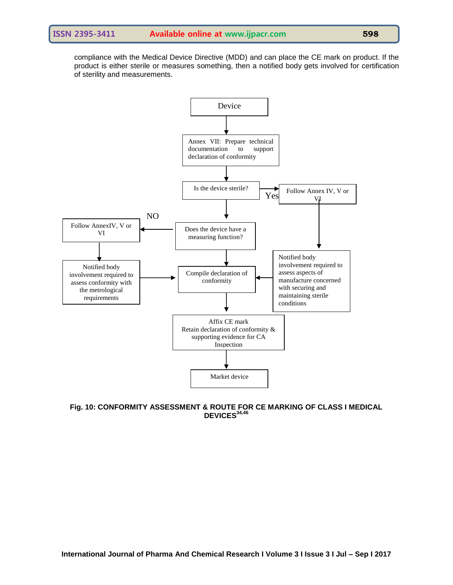compliance with the Medical Device Directive (MDD) and can place the CE mark on product. If the product is either sterile or measures something, then a notified body gets involved for certification of sterility and measurements.



**Fig. 10: CONFORMITY ASSESSMENT & ROUTE FOR CE MARKING OF CLASS I MEDICAL DEVICES34,46**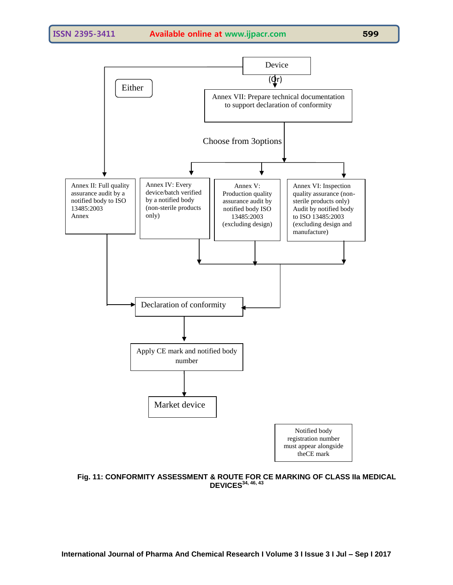

#### **Fig. 11: CONFORMITY ASSESSMENT & ROUTE FOR CE MARKING OF CLASS IIa MEDICAL DEVICES34, 46, 43**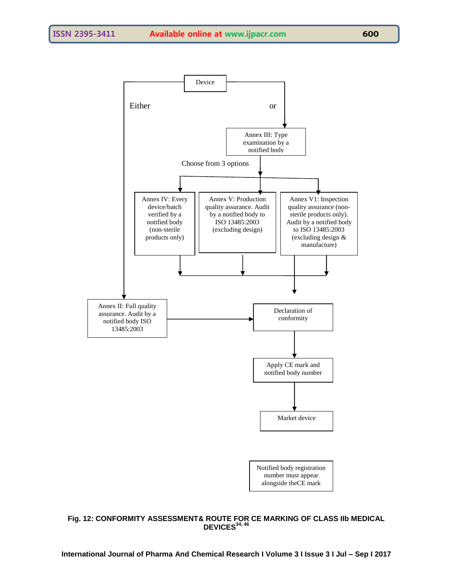

**Fig. 12: CONFORMITY ASSESSMENT& ROUTE FOR CE MARKING OF CLASS IIb MEDICAL DEVICES34, 46**

**International Journal of Pharma And Chemical Research I Volume 3 I Issue 3 I Jul – Sep I 2017**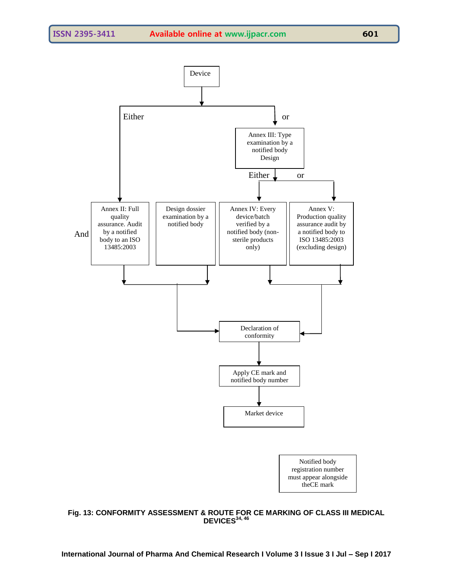

**Fig. 13: CONFORMITY ASSESSMENT & ROUTE FOR CE MARKING OF CLASS III MEDICAL DEVICES34, 46**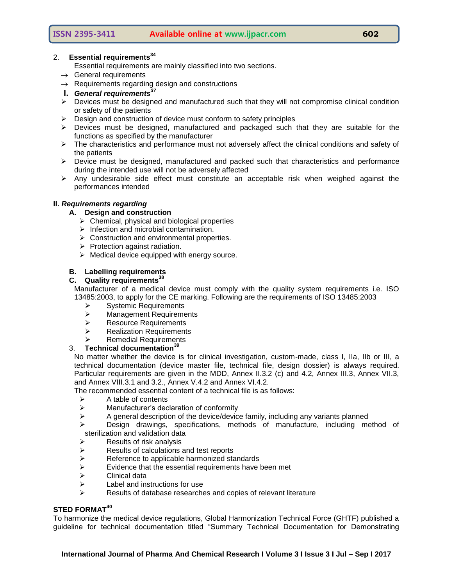## **ISSN 2395-3411 Available online at www.ijpacr.com 602**

## 2. **Essential requirements<sup>34</sup>**

Essential requirements are mainly classified into two sections.

- $\rightarrow$  General requirements
- $\rightarrow$  Requirements regarding design and constructions
- **I.** *General requirements<sup>37</sup>*
- $\triangleright$  Devices must be designed and manufactured such that they will not compromise clinical condition or safety of the patients
- $\triangleright$  Design and construction of device must conform to safety principles
- $\triangleright$  Devices must be designed, manufactured and packaged such that they are suitable for the functions as specified by the manufacturer
- $\triangleright$  The characteristics and performance must not adversely affect the clinical conditions and safety of the patients
- $\triangleright$  Device must be designed, manufactured and packed such that characteristics and performance during the intended use will not be adversely affected
- $\triangleright$  Any undesirable side effect must constitute an acceptable risk when weighed against the performances intended

#### **II.** *Requirements regarding*

#### **A. Design and construction**

- $\triangleright$  Chemical, physical and biological properties
- $\triangleright$  Infection and microbial contamination.
- $\triangleright$  Construction and environmental properties.
- $\triangleright$  Protection against radiation.
- $\triangleright$  Medical device equipped with energy source.

#### **B. Labelling requirements**

## **C. Quality requirements<sup>38</sup>**

Manufacturer of a medical device must comply with the quality system requirements i.e. ISO 13485:2003, to apply for the CE marking. Following are the requirements of ISO 13485:2003

- $\triangleright$  Systemic Requirements
- > Management Requirements
- **EXECUTE:** Resource Requirements
- $\triangleright$  Realization Requirements
- Remedial Requirements

#### 3. **Technical documentation<sup>39</sup>**

No matter whether the device is for clinical investigation, custom-made, class I, IIa, IIb or III, a technical documentation (device master file, technical file, design dossier) is always required. Particular requirements are given in the MDD, Annex II.3.2 (c) and 4.2, Annex III.3, Annex VII.3, and Annex VIII.3.1 and 3.2., Annex V.4.2 and Annex VI.4.2.

The recommended essential content of a technical file is as follows:

- $\triangleright$  A table of contents
- $\triangleright$  Manufacturer's declaration of conformity
- $\triangleright$  A general description of the device/device family, including any variants planned
- $\triangleright$  Design drawings, specifications, methods of manufacture, including method of sterilization and validation data
- $\triangleright$  Results of risk analysis
- $\triangleright$  Results of calculations and test reports
- $\triangleright$  Reference to applicable harmonized standards<br>  $\triangleright$  Evidence that the essential requirements have
- $\triangleright$  Evidence that the essential requirements have been met  $\triangleright$  Clinical data
- Clinical data
- $\triangleright$  Label and instructions for use
- $\triangleright$  Results of database researches and copies of relevant literature

## **STED FORMAT<sup>40</sup>**

To harmonize the medical device regulations, Global Harmonization Technical Force (GHTF) published a guideline for technical documentation titled "Summary Technical Documentation for Demonstrating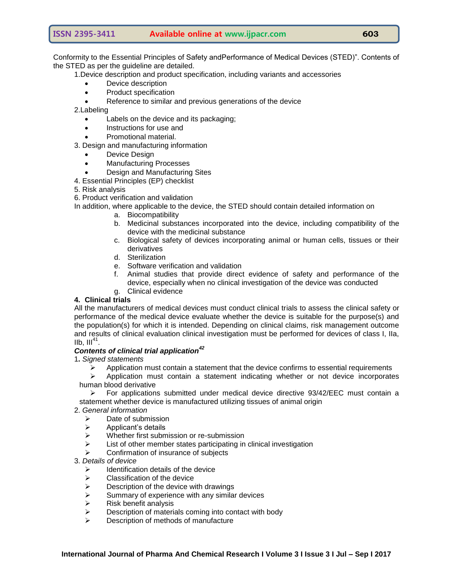Conformity to the Essential Principles of Safety andPerformance of Medical Devices (STED)". Contents of the STED as per the guideline are detailed.

1.Device description and product specification, including variants and accessories

- Device description
- Product specification
- Reference to similar and previous generations of the device

2.Labeling

- Labels on the device and its packaging;
- Instructions for use and
- Promotional material.
- 3. Design and manufacturing information
	- Device Design
	- Manufacturing Processes
	- Design and Manufacturing Sites
- 4. Essential Principles (EP) checklist
- 5. Risk analysis
- 6. Product verification and validation
- In addition, where applicable to the device, the STED should contain detailed information on
	- a. Biocompatibility
	- b. Medicinal substances incorporated into the device, including compatibility of the device with the medicinal substance
	- c. Biological safety of devices incorporating animal or human cells, tissues or their derivatives
	- d. Sterilization
	- e. Software verification and validation
	- f. Animal studies that provide direct evidence of safety and performance of the device, especially when no clinical investigation of the device was conducted
	- g. Clinical evidence

#### **4. Clinical trials**

All the manufacturers of medical devices must conduct clinical trials to assess the clinical safety or performance of the medical device evaluate whether the device is suitable for the purpose(s) and the population(s) for which it is intended. Depending on clinical claims, risk management outcome and results of clinical evaluation clinical investigation must be performed for devices of class I, IIa,  $IIb, III<sup>41</sup>.$ 

#### *Contents of clinical trial application<sup>42</sup>*

1**.** *Signed statements* 

 $\triangleright$  Application must contain a statement that the device confirms to essential requirements

 $\triangleright$  Application must contain a statement indicating whether or not device incorporates human blood derivative

 $\triangleright$  For applications submitted under medical device directive 93/42/EEC must contain a statement whether device is manufactured utilizing tissues of animal origin

- 2. *General information* 
	- $\triangleright$  Date of submission
	- $\triangleright$  Applicant's details
	- Whether first submission or re-submission
	- List of other member states participating in clinical investigation
	- Confirmation of insurance of subjects

#### 3. *Details of device*

- $\triangleright$  Identification details of the device
- $\triangleright$  Classification of the device
- $\triangleright$  Description of the device with drawings
- $\triangleright$  Summary of experience with any similar devices
- $\triangleright$  Risk benefit analysis
- $\triangleright$  Description of materials coming into contact with body
- Description of methods of manufacture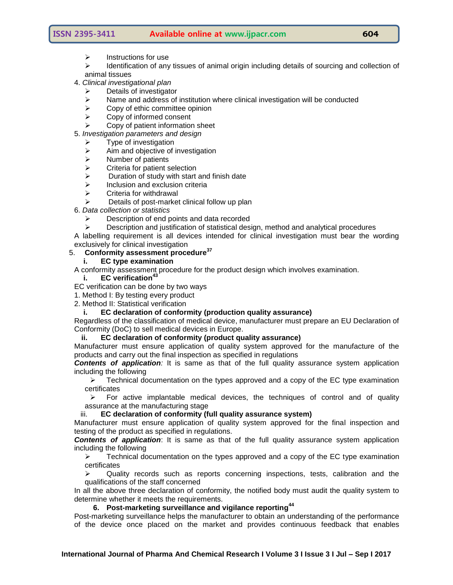- $\triangleright$  Instructions for use
- $\triangleright$  Identification of any tissues of animal origin including details of sourcing and collection of animal tissues
- 4. *Clinical investigational plan* 
	- $\triangleright$  Details of investigator
	- $\triangleright$  Name and address of institution where clinical investigation will be conducted
	- $\triangleright$  Copy of ethic committee opinion
	- $\triangleright$  Copy of informed consent
	- Copy of patient information sheet
- 5. *Investigation parameters and design* 
	- Type of investigation
		- $\triangleright$  Aim and objective of investigation
		- $\triangleright$  Number of patients
		- $\triangleright$  Criteria for patient selection
		- $\triangleright$  Duration of study with start and finish date
		- $\triangleright$  Inclusion and exclusion criteria
		- $\triangleright$  Criteria for withdrawal
	- Details of post-market clinical follow up plan
- 6. *Data collection or statistics* 
	- $\triangleright$  Description of end points and data recorded
	- $\triangleright$  Description and justification of statistical design, method and analytical procedures

A labelling requirement is all devices intended for clinical investigation must bear the wording exclusively for clinical investigation

# 5. **Conformity assessment procedure<sup>37</sup>**

#### **i. EC type examination**

A conformity assessment procedure for the product design which involves examination.

## **i. EC** verification<sup>4</sup>

EC verification can be done by two ways

1. Method I: By testing every product

2. Method II: Statistical verification

#### **i. EC declaration of conformity (production quality assurance)**

Regardless of the classification of medical device, manufacturer must prepare an EU Declaration of Conformity (DoC) to sell medical devices in Europe.

#### **ii. EC declaration of conformity (product quality assurance)**

Manufacturer must ensure application of quality system approved for the manufacture of the products and carry out the final inspection as specified in regulations

**Contents of application**: It is same as that of the full quality assurance system application including the following

 $\triangleright$  Technical documentation on the types approved and a copy of the EC type examination certificates

 $\triangleright$  For active implantable medical devices, the techniques of control and of quality assurance at the manufacturing stage

## iii. **EC declaration of conformity (full quality assurance system)**

Manufacturer must ensure application of quality system approved for the final inspection and testing of the product as specified in regulations.

*Contents of application*: It is same as that of the full quality assurance system application including the following

 $\triangleright$  Technical documentation on the types approved and a copy of the EC type examination certificates

 $\triangleright$  Quality records such as reports concerning inspections, tests, calibration and the qualifications of the staff concerned

In all the above three declaration of conformity, the notified body must audit the quality system to determine whether it meets the requirements.

#### **6. Post-marketing surveillance and vigilance reporting<sup>44</sup>**

Post-marketing surveillance helps the manufacturer to obtain an understanding of the performance of the device once placed on the market and provides continuous feedback that enables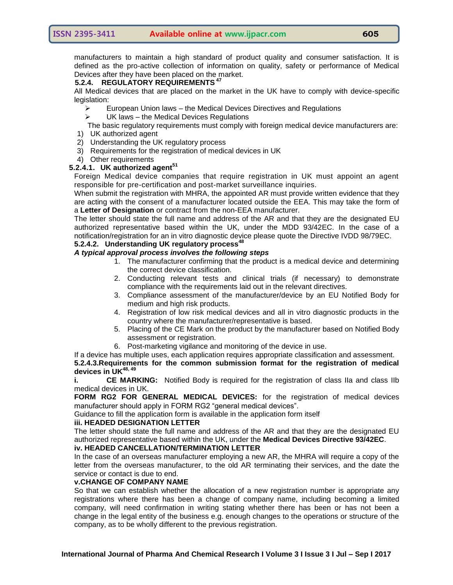manufacturers to maintain a high standard of product quality and consumer satisfaction. It is defined as the pro-active collection of information on quality, safety or performance of Medical Devices after they have been placed on the market.

#### **5.2.4. REGULATORY REQUIREMENTS <sup>47</sup>**

All Medical devices that are placed on the market in the UK have to comply with device-specific legislation:

- $\triangleright$  European Union laws the Medical Devices Directives and Regulations
- $\triangleright$  UK laws the Medical Devices Regulations

The basic regulatory requirements must comply with foreign medical device manufacturers are:

- 1) UK authorized agent
- 2) Understanding the UK regulatory process
- 3) Requirements for the registration of medical devices in UK
- 4) Other requirements

## **5.2.4.1. UK authorized agent<sup>51</sup>**

Foreign Medical device companies that require registration in UK must appoint an agent responsible for pre-certification and post-market surveillance inquiries.

When submit the registration with MHRA, the appointed AR must provide written evidence that they are acting with the consent of a manufacturer located outside the EEA. This may take the form of a **Letter of Designation** or contract from the non-EEA manufacturer.

The letter should state the full name and address of the AR and that they are the designated EU authorized representative based within the UK, under the MDD 93/42EC. In the case of a notification/registration for an in vitro diagnostic device please quote the Directive IVDD 98/79EC.

# **5.2.4.2. Understanding UK regulatory process<sup>48</sup>**

## *A typical approval process involves the following steps*

- 1. The manufacturer confirming that the product is a medical device and determining the correct device classification.
- 2. Conducting relevant tests and clinical trials (if necessary) to demonstrate compliance with the requirements laid out in the relevant directives.
- 3. Compliance assessment of the manufacturer/device by an EU Notified Body for medium and high risk products.
- 4. Registration of low risk medical devices and all in vitro diagnostic products in the country where the manufacturer/representative is based.
- 5. Placing of the CE Mark on the product by the manufacturer based on Notified Body assessment or registration.
- 6. Post-marketing vigilance and monitoring of the device in use.

If a device has multiple uses, each application requires appropriate classification and assessment. **5.2.4.3.Requirements for the common submission format for the registration of medical devices in UK 48, 49**

**i. CE MARKING:** Notified Body is required for the registration of class IIa and class IIb medical devices in UK.

**FORM RG2 FOR GENERAL MEDICAL DEVICES:** for the registration of medical devices manufacturer should apply in FORM RG2 "general medical devices".

Guidance to fill the application form is available in the application form itself

#### **iii. HEADED DESIGNATION LETTER**

The letter should state the full name and address of the AR and that they are the designated EU authorized representative based within the UK, under the **Medical Devices Directive 93/42EC**.

#### **iv. HEADED CANCELLATION/TERMINATION LETTER**

In the case of an overseas manufacturer employing a new AR, the MHRA will require a copy of the letter from the overseas manufacturer, to the old AR terminating their services, and the date the service or contact is due to end.

#### **v.CHANGE OF COMPANY NAME**

So that we can establish whether the allocation of a new registration number is appropriate any registrations where there has been a change of company name, including becoming a limited company, will need confirmation in writing stating whether there has been or has not been a change in the legal entity of the business e.g. enough changes to the operations or structure of the company, as to be wholly different to the previous registration.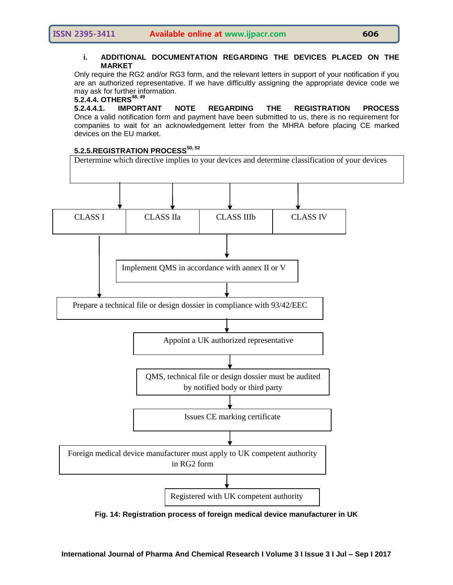#### **i. ADDITIONAL DOCUMENTATION REGARDING THE DEVICES PLACED ON THE MARKET**

Only require the RG2 and/or RG3 form, and the relevant letters in support of your notification if you are an authorized representative. If we have difficultly assigning the appropriate device code we may ask for further information.

# **5.2.4.4. OTHERS48, 49**

**5.2.4.4.1. IMPORTANT NOTE REGARDING THE REGISTRATION PROCESS** Once a valid notification form and payment have been submitted to us, there is no requirement for companies to wait for an acknowledgement letter from the MHRA before placing CE marked devices on the EU market.

#### **5.2.5.REGISTRATION PROCESS50, 52**



**Fig. 14: Registration process of foreign medical device manufacturer in UK**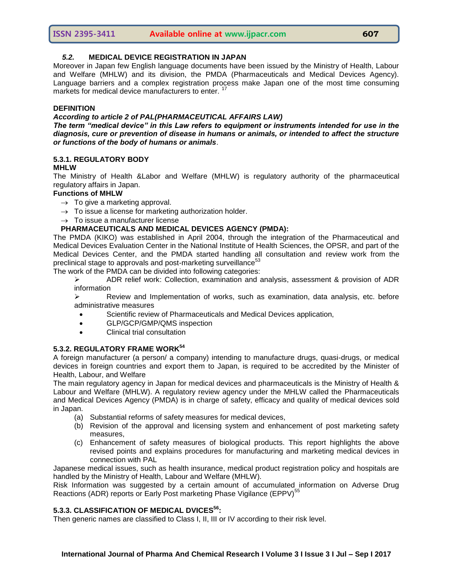## *5.2.* **MEDICAL DEVICE REGISTRATION IN JAPAN**

Moreover in Japan few English language documents have been issued by the Ministry of Health, Labour and Welfare (MHLW) and its division, the PMDA (Pharmaceuticals and Medical Devices Agency). Language barriers and a complex registration process make Japan one of the most time consuming markets for medical device manufacturers to enter.<sup>17</sup>

#### **DEFINITION**

#### *According to article 2 of PAL(PHARMACEUTICAL AFFAIRS LAW)*

*The term "medical device" in this Law refers to equipment or instruments intended for use in the diagnosis, cure or prevention of disease in humans or animals, or intended to affect the structure or functions of the body of humans or animals*.

#### **5.3.1. REGULATORY BODY**

#### **MHLW**

The Ministry of Health &Labor and Welfare (MHLW) is regulatory authority of the pharmaceutical regulatory affairs in Japan.

#### **Functions of MHLW**

- $\rightarrow$  To give a marketing approval.
- $\rightarrow$  To issue a license for marketing authorization holder.
- $\rightarrow$  To issue a manufacturer license

#### **PHARMACEUTICALS AND MEDICAL DEVICES AGENCY (PMDA):**

The PMDA (KIKO) was established in April 2004, through the integration of the Pharmaceutical and Medical Devices Evaluation Center in the National Institute of Health Sciences, the OPSR, and part of the Medical Devices Center, and the PMDA started handling all consultation and review work from the preclinical stage to approvals and post-marketing surveillance<sup>53</sup>

The work of the PMDA can be divided into following categories:

 ADR relief work: Collection, examination and analysis, assessment & provision of ADR information

 $\triangleright$  Review and Implementation of works, such as examination, data analysis, etc. before administrative measures

- Scientific review of Pharmaceuticals and Medical Devices application,
- GLP/GCP/GMP/QMS inspection
- Clinical trial consultation

## **5.3.2. REGULATORY FRAME WORK<sup>54</sup>**

A foreign manufacturer (a person/ a company) intending to manufacture drugs, quasi-drugs, or medical devices in foreign countries and export them to Japan, is required to be accredited by the Minister of Health, Labour, and Welfare

The main regulatory agency in Japan for medical devices and pharmaceuticals is the Ministry of Health & Labour and Welfare (MHLW). A regulatory review agency under the MHLW called the Pharmaceuticals and Medical Devices Agency (PMDA) is in charge of safety, efficacy and quality of medical devices sold in Japan.

- (a) Substantial reforms of safety measures for medical devices,
- (b) Revision of the approval and licensing system and enhancement of post marketing safety measures,
- (c) Enhancement of safety measures of biological products. This report highlights the above revised points and explains procedures for manufacturing and marketing medical devices in connection with PAL

Japanese medical issues, such as health insurance, medical product registration policy and hospitals are handled by the Ministry of Health, Labour and Welfare (MHLW).

Risk Information was suggested by a certain amount of accumulated information on Adverse Drug Reactions (ADR) reports or Early Post marketing Phase Vigilance (EPPV)<sup>55</sup>

## **5.3.3. CLASSIFICATION OF MEDICAL DVICES 56:**

Then generic names are classified to Class I, II, III or IV according to their risk level.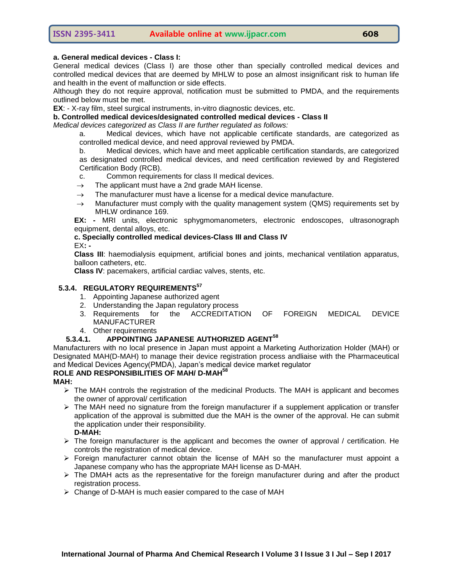#### **a. General medical devices - Class I:**

General medical devices (Class I) are those other than specially controlled medical devices and controlled medical devices that are deemed by MHLW to pose an almost insignificant risk to human life and health in the event of malfunction or side effects.

Although they do not require approval, notification must be submitted to PMDA, and the requirements outlined below must be met.

**EX**: - X-ray film, steel surgical instruments, in-vitro diagnostic devices, etc.

**b. Controlled medical devices/designated controlled medical devices - Class II**

*Medical devices categorized as Class II are further regulated as follows:*

a. Medical devices, which have not applicable certificate standards, are categorized as controlled medical device, and need approval reviewed by PMDA.

b. Medical devices, which have and meet applicable certification standards, are categorized as designated controlled medical devices, and need certification reviewed by and Registered Certification Body (RCB).

- c. Common requirements for class II medical devices.
- $\rightarrow$  The applicant must have a 2nd grade MAH license.
- $\rightarrow$  The manufacturer must have a license for a medical device manufacture.
- $\rightarrow$  Manufacturer must comply with the quality management system (QMS) requirements set by MHLW ordinance 169.

**EX: -** MRI units, electronic sphygmomanometers, electronic endoscopes, ultrasonograph equipment, dental alloys, etc.

## **c. Specially controlled medical devices-Class III and Class IV**

EX**: -**

**Class III**: haemodialysis equipment, artificial bones and joints, mechanical ventilation apparatus, balloon catheters, etc.

**Class IV**: pacemakers, artificial cardiac valves, stents, etc.

#### **5.3.4. REGULATORY REQUIREMENTS<sup>57</sup>**

- 1. Appointing Japanese authorized agent
- 2. Understanding the Japan regulatory process
- 3. Requirements for the ACCREDITATION OF FOREIGN MEDICAL DEVICE MANUFACTURER
- 4. Other requirements

## **5.3.4.1. APPOINTING JAPANESE AUTHORIZED AGENT<sup>58</sup>**

Manufacturers with no local presence in Japan must appoint a Marketing Authorization Holder (MAH) or Designated MAH(D-MAH) to manage their device registration process andliaise with the Pharmaceutical and Medical Devices Agency(PMDA), Japan"s medical device market regulator

#### **ROLE AND RESPONSIBILITIES OF MAH/ D-MAH<sup>58</sup>**

**MAH:**

- $\triangleright$  The MAH controls the registration of the medicinal Products. The MAH is applicant and becomes the owner of approval/ certification
- $\triangleright$  The MAH need no signature from the foreign manufacturer if a supplement application or transfer application of the approval is submitted due the MAH is the owner of the approval. He can submit the application under their responsibility.

**D-MAH:**

- $\triangleright$  The foreign manufacturer is the applicant and becomes the owner of approval / certification. He controls the registration of medical device.
- $\triangleright$  Foreign manufacturer cannot obtain the license of MAH so the manufacturer must appoint a Japanese company who has the appropriate MAH license as D-MAH.
- $\triangleright$  The DMAH acts as the representative for the foreign manufacturer during and after the product registration process.
- $\triangleright$  Change of D-MAH is much easier compared to the case of MAH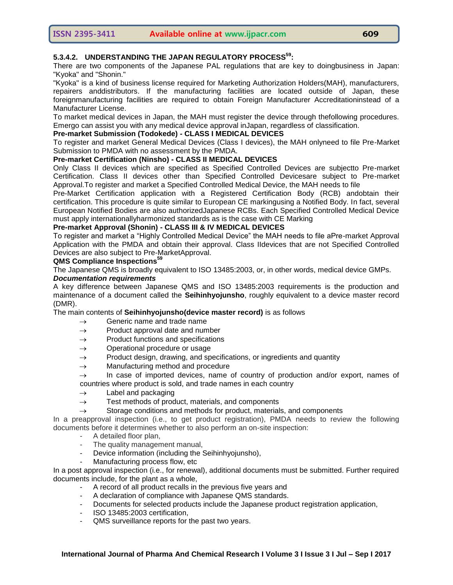## **5.3.4.2. UNDERSTANDING THE JAPAN REGULATORY PROCESS<sup>59</sup>:**

There are two components of the Japanese PAL regulations that are key to doingbusiness in Japan: "Kyoka" and "Shonin."

"Kyoka" is a kind of business license required for Marketing Authorization Holders(MAH), manufacturers, repairers anddistributors. If the manufacturing facilities are located outside of Japan, these foreignmanufacturing facilities are required to obtain Foreign Manufacturer Accreditationinstead of a Manufacturer License.

To market medical devices in Japan, the MAH must register the device through thefollowing procedures. Emergo can assist you with any medical device approval inJapan, regardless of classification.

#### **Pre-market Submission (Todokede) - CLASS I MEDICAL DEVICES**

To register and market General Medical Devices (Class I devices), the MAH onlyneed to file Pre-Market Submission to PMDA with no assessment by the PMDA.

## **Pre-market Certification (Ninsho) - CLASS II MEDICAL DEVICES**

Only Class II devices which are specified as Specified Controlled Devices are subjectto Pre-market Certification. Class II devices other than Specified Controlled Devicesare subject to Pre-market Approval.To register and market a Specified Controlled Medical Device, the MAH needs to file

Pre-Market Certification application with a Registered Certification Body (RCB) andobtain their certification. This procedure is quite similar to European CE markingusing a Notified Body. In fact, several European Notified Bodies are also authorizedJapanese RCBs. Each Specified Controlled Medical Device must apply internationallyharmonized standards as is the case with CE Marking

## **Pre-market Approval (Shonin) - CLASS III & IV MEDICAL DEVICES**

To register and market a "Highly Controlled Medical Device" the MAH needs to file aPre-market Approval Application with the PMDA and obtain their approval. Class IIdevices that are not Specified Controlled Devices are also subject to Pre-MarketApproval.

## **QMS Compliance Inspections<sup>59</sup>**

The Japanese QMS is broadly equivalent to ISO 13485:2003, or, in other words, medical device GMPs. *Documentation requirements*

A key difference between Japanese QMS and ISO 13485:2003 requirements is the production and maintenance of a document called the **Seihinhyojunsho**, roughly equivalent to a device master record (DMR).

The main contents of **Seihinhyojunsho(device master record)** is as follows

- $\rightarrow$  Generic name and trade name
- $\rightarrow$  Product approval date and number
- $\rightarrow$  Product functions and specifications
- $\rightarrow$  Operational procedure or usage
- $\rightarrow$  Product design, drawing, and specifications, or ingredients and quantity
- $\rightarrow$  Manufacturing method and procedure
- $\rightarrow$  In case of imported devices, name of country of production and/or export, names of countries where product is sold, and trade names in each country
- $\rightarrow$  Label and packaging
- $\rightarrow$  Test methods of product, materials, and components
- $\rightarrow$  Storage conditions and methods for product, materials, and components

In a preapproval inspection (i.e., to get product registration), PMDA needs to review the following documents before it determines whether to also perform an on-site inspection:

- A detailed floor plan,
- The quality management manual,
- Device information (including the Seihinhyojunsho),
	- Manufacturing process flow, etc

In a post approval inspection (i.e., for renewal), additional documents must be submitted. Further required documents include, for the plant as a whole,

- A record of all product recalls in the previous five years and
- A declaration of compliance with Japanese QMS standards.
- Documents for selected products include the Japanese product registration application,
- ISO 13485:2003 certification,
- QMS surveillance reports for the past two years.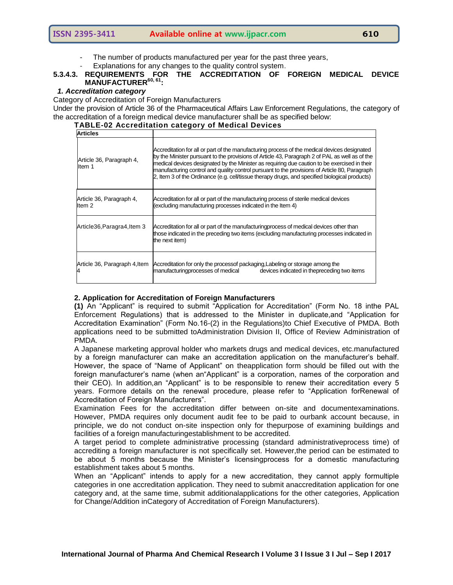- The number of products manufactured per year for the past three years,
- Explanations for any changes to the quality control system.

#### **5.3.4.3. REQUIREMENTS FOR THE ACCREDITATION OF FOREIGN MEDICAL DEVICE MANUFACTURER60, 61:**

#### *1. Accreditation category*

Category of Accreditation of Foreign Manufacturers

Under the provision of Article 36 of the Pharmaceutical Affairs Law Enforcement Regulations, the category of the accreditation of a foreign medical device manufacturer shall be as specified below:

#### **TABLE-02 Accreditation category of Medical Devices**

| <b>Articles</b>                               |                                                                                                                                                                                                                                                                                                                                                                                                                                                                                                   |  |
|-----------------------------------------------|---------------------------------------------------------------------------------------------------------------------------------------------------------------------------------------------------------------------------------------------------------------------------------------------------------------------------------------------------------------------------------------------------------------------------------------------------------------------------------------------------|--|
| Article 36, Paragraph 4,<br>ltem 1            | Accreditation for all or part of the manufacturing process of the medical devices designated<br>by the Minister pursuant to the provisions of Article 43, Paragraph 2 of PAL as well as of the<br>medical devices designated by the Minister as requiring due caution to be exercised in their<br>manufacturing control and quality control pursuant to the provisions of Article 80, Paragraph<br>2, Item 3 of the Ordinance (e.g. cell/tissue therapy drugs, and specified biological products) |  |
| Article 36, Paragraph 4,<br>Item <sub>2</sub> | Accreditation for all or part of the manufacturing process of sterile medical devices<br>(excluding manufacturing processes indicated in the Item 4)                                                                                                                                                                                                                                                                                                                                              |  |
| Article36, Paragra4, Item 3                   | Accreditation for all or part of the manufacturingprocess of medical devices other than<br>those indicated in the preceding two items (excluding manufacturing processes indicated in<br>the next item)                                                                                                                                                                                                                                                                                           |  |
| Article 36, Paragraph 4, Item                 | Accreditation for only the processof packaging, Labeling or storage among the<br>manufacturingprocesses of medical<br>devices indicated in thepreceding two items                                                                                                                                                                                                                                                                                                                                 |  |

#### **2. Application for Accreditation of Foreign Manufacturers**

**(1)** An "Applicant" is required to submit "Application for Accreditation" (Form No. 18 inthe PAL Enforcement Regulations) that is addressed to the Minister in duplicate,and "Application for Accreditation Examination" (Form No.16-(2) in the Regulations)to Chief Executive of PMDA. Both applications need to be submitted toAdministration Division II, Office of Review Administration of PMDA.

A Japanese marketing approval holder who markets drugs and medical devices, etc.manufactured by a foreign manufacturer can make an accreditation application on the manufacturer"s behalf. However, the space of "Name of Applicant" on theapplication form should be filled out with the foreign manufacturer's name (when an "Applicant" is a corporation, names of the corporation and their CEO). In addition,an "Applicant" is to be responsible to renew their accreditation every 5 years. Formore details on the renewal procedure, please refer to "Application forRenewal of Accreditation of Foreign Manufacturers".

Examination Fees for the accreditation differ between on-site and documentexaminations. However, PMDA requires only document audit fee to be paid to ourbank account because, in principle, we do not conduct on-site inspection only for thepurpose of examining buildings and facilities of a foreign manufacturingestablishment to be accredited.

A target period to complete administrative processing (standard administrativeprocess time) of accrediting a foreign manufacturer is not specifically set. However,the period can be estimated to be about 5 months because the Minister's licensingprocess for a domestic manufacturing establishment takes about 5 months.

When an "Applicant" intends to apply for a new accreditation, they cannot apply formultiple categories in one accreditation application. They need to submit anaccreditation application for one category and, at the same time, submit additionalapplications for the other categories, Application for Change/Addition inCategory of Accreditation of Foreign Manufacturers).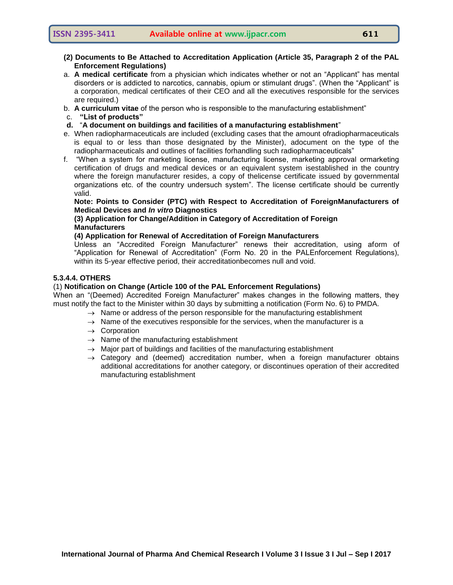- **(2) Documents to Be Attached to Accreditation Application (Article 35, Paragraph 2 of the PAL Enforcement Regulations)**
- a. **A medical certificate** from a physician which indicates whether or not an "Applicant" has mental disorders or is addicted to narcotics, cannabis, opium or stimulant drugs". (When the "Applicant" is a corporation, medical certificates of their CEO and all the executives responsible for the services are required.)
- b. **A curriculum vitae** of the person who is responsible to the manufacturing establishment"
- c. **―List of products‖**
- **d.** "**A document on buildings and facilities of a manufacturing establishment**"
- e. When radiopharmaceuticals are included (excluding cases that the amount ofradiopharmaceuticals is equal to or less than those designated by the Minister), adocument on the type of the radiopharmaceuticals and outlines of facilities forhandling such radiopharmaceuticals"
- f. "When a system for marketing license, manufacturing license, marketing approval ormarketing certification of drugs and medical devices or an equivalent system isestablished in the country where the foreign manufacturer resides, a copy of thelicense certificate issued by governmental organizations etc. of the country undersuch system". The license certificate should be currently valid.

#### **Note: Points to Consider (PTC) with Respect to Accreditation of ForeignManufacturers of Medical Devices and** *In vitro* **Diagnostics**

#### **(3) Application for Change/Addition in Category of Accreditation of Foreign Manufacturers**

#### **(4) Application for Renewal of Accreditation of Foreign Manufacturers**

Unless an "Accredited Foreign Manufacturer" renews their accreditation, using aform of "Application for Renewal of Accreditation" (Form No. 20 in the PALEnforcement Regulations), within its 5-year effective period, their accreditationbecomes null and void.

#### **5.3.4.4. OTHERS**

#### (1) **Notification on Change (Article 100 of the PAL Enforcement Regulations)**

When an "(Deemed) Accredited Foreign Manufacturer" makes changes in the following matters, they must notify the fact to the Minister within 30 days by submitting a notification (Form No. 6) to PMDA.

- $\rightarrow$  Name or address of the person responsible for the manufacturing establishment
- $\rightarrow$  Name of the executives responsible for the services, when the manufacturer is a
- $\rightarrow$  Corporation
- $\rightarrow$  Name of the manufacturing establishment
- $\rightarrow$  Major part of buildings and facilities of the manufacturing establishment
- $\rightarrow$  Category and (deemed) accreditation number, when a foreign manufacturer obtains additional accreditations for another category, or discontinues operation of their accredited manufacturing establishment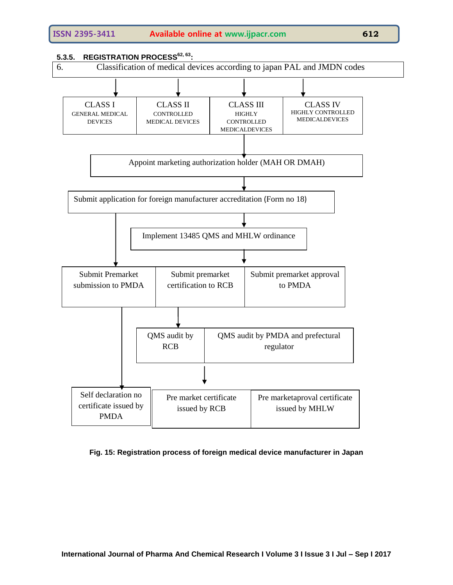

#### **Fig. 15: Registration process of foreign medical device manufacturer in Japan**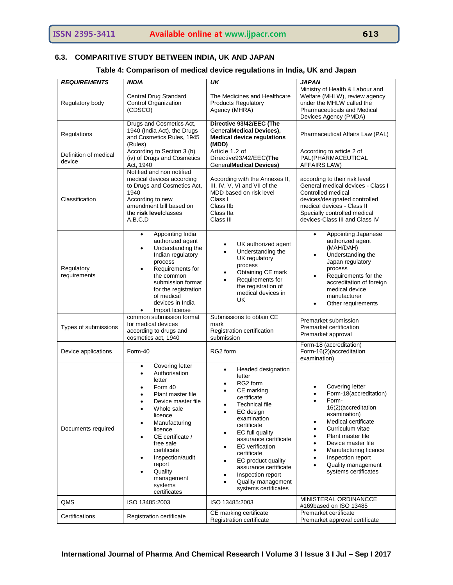# **6.3. COMPARITIVE STUDY BETWEEN INDIA, UK AND JAPAN**

#### **Table 4: Comparison of medical device regulations in India, UK and Japan**

| <b>REQUIREMENTS</b>             | <b>INDIA</b>                                                                                                                                                                                                                                                                                                           | $\overline{\mathsf{UK}}$                                                                                                                                                                                                                                                                                                                                                                                                      | <b>JAPAN</b>                                                                                                                                                                                                                                                                                                                                                   |
|---------------------------------|------------------------------------------------------------------------------------------------------------------------------------------------------------------------------------------------------------------------------------------------------------------------------------------------------------------------|-------------------------------------------------------------------------------------------------------------------------------------------------------------------------------------------------------------------------------------------------------------------------------------------------------------------------------------------------------------------------------------------------------------------------------|----------------------------------------------------------------------------------------------------------------------------------------------------------------------------------------------------------------------------------------------------------------------------------------------------------------------------------------------------------------|
| Regulatory body                 | Central Drug Standard<br><b>Control Organization</b><br>(CDSCO)                                                                                                                                                                                                                                                        | The Medicines and Healthcare<br><b>Products Regulatory</b><br>Agency (MHRA)                                                                                                                                                                                                                                                                                                                                                   | Ministry of Health & Labour and<br>Welfare (MHLW), review agency<br>under the MHLW called the<br><b>Pharmaceuticals and Medical</b><br>Devices Agency (PMDA)                                                                                                                                                                                                   |
| Regulations                     | Drugs and Cosmetics Act,<br>1940 (India Act), the Drugs<br>and Cosmetics Rules, 1945<br>(Rules)                                                                                                                                                                                                                        | Directive 93/42/EEC (The<br>GeneralMedical Devices),<br><b>Medical device regulations</b><br>(MDD)                                                                                                                                                                                                                                                                                                                            | Pharmaceutical Affairs Law (PAL)                                                                                                                                                                                                                                                                                                                               |
| Definition of medical<br>device | According to Section 3 (b)<br>(iv) of Drugs and Cosmetics<br>Act, 1940                                                                                                                                                                                                                                                 | Article 1.2 of<br>Directive93/42/EEC(The<br><b>GeneralMedical Devices)</b>                                                                                                                                                                                                                                                                                                                                                    | According to article 2 of<br>PAL(PHARMACEUTICAL<br><b>AFFAIRS LAW)</b>                                                                                                                                                                                                                                                                                         |
| Classification                  | Notified and non notified<br>medical devices according<br>to Drugs and Cosmetics Act,<br>1940<br>According to new<br>amendment bill based on<br>the risk levelclasses<br>A,B,C,D                                                                                                                                       | According with the Annexes II,<br>III, IV, V, VI and VII of the<br>MDD based on risk level<br>Class I<br>Class IIb<br>Class IIa<br>Class III                                                                                                                                                                                                                                                                                  | according to their risk level<br>General medical devices - Class I<br>Controlled medical<br>devices/designated controlled<br>medical devices - Class II<br>Specially controlled medical<br>devices-Class III and Class IV                                                                                                                                      |
| Regulatory<br>requirements      | Appointing India<br>$\bullet$<br>authorized agent<br>Understanding the<br>$\bullet$<br>Indian regulatory<br>process<br>Requirements for<br>the common<br>submission format<br>for the registration<br>of medical<br>devices in India<br>Import license                                                                 | UK authorized agent<br>Understanding the<br>$\bullet$<br>UK regulatory<br>process<br>Obtaining CE mark<br>٠<br>Requirements for<br>the registration of<br>medical devices in<br>UK                                                                                                                                                                                                                                            | Appointing Japanese<br>$\bullet$<br>authorized agent<br>(MAH/DAH)<br>Understanding the<br>$\bullet$<br>Japan regulatory<br>process<br>Requirements for the<br>accreditation of foreign<br>medical device<br>manufacturer<br>Other requirements                                                                                                                 |
| Types of submissions            | common submission format<br>for medical devices<br>according to drugs and<br>cosmetics act, 1940                                                                                                                                                                                                                       | Submissions to obtain CE<br>mark<br>Registration certification<br>submission                                                                                                                                                                                                                                                                                                                                                  | Premarket submission<br>Premarket certification<br>Premarket approval                                                                                                                                                                                                                                                                                          |
| Device applications             | Form-40                                                                                                                                                                                                                                                                                                                | RG2 form                                                                                                                                                                                                                                                                                                                                                                                                                      | Form-18 (accreditation)<br>Form-16(2)(accreditation<br>examination)                                                                                                                                                                                                                                                                                            |
| Documents required              | Covering letter<br>$\bullet$<br>Authorisation<br>letter<br>Form 40<br>Plant master file<br>Device master file<br>Whole sale<br>licence<br>Manufacturing<br>licence<br>CE certificate /<br>$\bullet$<br>free sale<br>certificate<br>Inspection/audit<br>٠<br>report<br>Quality<br>management<br>systems<br>certificates | Headed designation<br>٠<br>letter<br>RG2 form<br>$\bullet$<br>CE marking<br>certificate<br><b>Technical file</b><br>$\bullet$<br>EC design<br>٠<br>examination<br>certificate<br>EC full quality<br>٠<br>assurance certificate<br><b>EC</b> verification<br>$\bullet$<br>certificate<br>EC product quality<br>٠<br>assurance certificate<br>Inspection report<br>٠<br>Quality management<br>$\bullet$<br>systems certificates | Covering letter<br>Form-18(accreditation)<br>Form-<br>16(2)(accreditation<br>examination)<br>Medical certificate<br>٠<br>Curriculum vitae<br>$\bullet$<br>Plant master file<br>$\bullet$<br>Device master file<br>$\bullet$<br>Manufacturing licence<br>$\bullet$<br>Inspection report<br>$\bullet$<br>Quality management<br>$\bullet$<br>systems certificates |
| QMS                             | ISO 13485:2003                                                                                                                                                                                                                                                                                                         | ISO 13485:2003                                                                                                                                                                                                                                                                                                                                                                                                                | MINISTERAL ORDINANCCE<br>#169based on ISO 13485                                                                                                                                                                                                                                                                                                                |
| Certifications                  | Registration certificate                                                                                                                                                                                                                                                                                               | CE marking certificate<br>Registration certificate                                                                                                                                                                                                                                                                                                                                                                            | Premarket certificate<br>Premarket approval certificate                                                                                                                                                                                                                                                                                                        |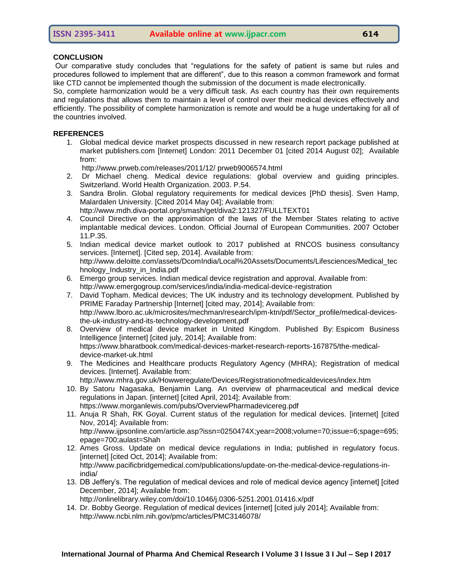#### **CONCLUSION**

Our comparative study concludes that "regulations for the safety of patient is same but rules and procedures followed to implement that are different", due to this reason a common framework and format like CTD cannot be implemented though the submission of the document is made electronically.

So, complete harmonization would be a very difficult task. As each country has their own requirements and regulations that allows them to maintain a level of control over their medical devices effectively and efficiently. The possibility of complete harmonization is remote and would be a huge undertaking for all of the countries involved.

#### **REFERENCES**

1. Global medical device market prospects discussed in new research report package published at market publishers.com [Internet] London: 2011 December 01 [cited 2014 August 02]; Available from:

http://www.prweb.com/releases/2011/12/ prweb9006574.html

- 2. Dr Michael cheng. Medical device regulations: global overview and guiding principles. Switzerland. World Health Organization. 2003. P.54.
- 3. Sandra Brolin. Global regulatory requirements for medical devices [PhD thesis]. Sven Hamp, Malardalen University. [Cited 2014 May 04]; Available from: <http://www.mdh.diva-portal.org/smash/get/diva2:121327/FULLTEXT01>
- 4. Council Directive on the approximation of the laws of the Member States relating to active implantable medical devices. London. Official Journal of European Communities. 2007 October 11.P.35.
- 5. Indian medical device market outlook to 2017 published at RNCOS business consultancy services. [Internet]. [Cited sep, 2014]. Available from: [http://www.deloitte.com/assets/DcomIndia/Local%20Assets/Documents/Lifesciences/Medical\\_tec](http://www.deloitte.com/assets/DcomIndia/Local%20Assets/Documents/Lifesciences/Medical_technology_Industry_in_India.pdf) [hnology\\_Industry\\_in\\_India.pdf](http://www.deloitte.com/assets/DcomIndia/Local%20Assets/Documents/Lifesciences/Medical_technology_Industry_in_India.pdf)
- 6. Emergo group services. Indian medical device registration and approval. Available from: <http://www.emergogroup.com/services/india/india-medical-device-registration>
- 7. David Topham. Medical devices; The UK industry and its technology development. Published by PRIME Faraday Partnership [Internet] [cited may, 2014]; Available from: [http://www.lboro.ac.uk/microsites/mechman/research/ipm-ktn/pdf/Sector\\_profile/medical-devices](http://www.lboro.ac.uk/microsites/mechman/research/ipm-ktn/pdf/Sector_profile/medical-devices-the-uk-industry-and-its-technology-development.pdf)[the-uk-industry-and-its-technology-development.pdf](http://www.lboro.ac.uk/microsites/mechman/research/ipm-ktn/pdf/Sector_profile/medical-devices-the-uk-industry-and-its-technology-development.pdf)
- 8. Overview of medical device market in United Kingdom. Published By: Espicom Business Intelligence [internet] [cited july, 2014]; Available from: [https://www.bharatbook.com/medical-devices-market-research-reports-167875/the-medical](https://www.bharatbook.com/medical-devices-market-research-reports-167875/the-medical-device-market-uk.html)[device-market-uk.html](https://www.bharatbook.com/medical-devices-market-research-reports-167875/the-medical-device-market-uk.html)
- 9. The Medicines and Healthcare products Regulatory Agency (MHRA); Registration of medical devices. [Internet]. Available from:

<http://www.mhra.gov.uk/Howweregulate/Devices/Registrationofmedicaldevices/index.htm>

- 10. By Satoru Nagasaka, Benjamin Lang. An overview of pharmaceutical and medical device regulations in Japan. [internet] [cited April, 2014]; Available from: <https://www.morganlewis.com/pubs/OverviewPharmadevicereg.pdf>
- 11. Anuja R Shah, RK Goyal. Current status of the regulation for medical devices. [internet] [cited Nov, 2014]; Available from: [http://www.ijpsonline.com/article.asp?issn=0250474X;year=2008;volume=70;issue=6;spage=695;](http://www.ijpsonline.com/article.asp?issn=0250474X;year=2008;volume=70;issue=6;spage=695;epage=700;aulast=Shah) [epage=700;aulast=Shah](http://www.ijpsonline.com/article.asp?issn=0250474X;year=2008;volume=70;issue=6;spage=695;epage=700;aulast=Shah)
- 12. Ames Gross. Update on medical device regulations in India; published in regulatory focus. [internet] [cited Oct, 2014]; Available from: [http://www.pacificbridgemedical.com/publications/update-on-the-medical-device-regulations-in](http://www.pacificbridgemedical.com/publications/update-on-the-medical-device-regulations-in-india/)[india/](http://www.pacificbridgemedical.com/publications/update-on-the-medical-device-regulations-in-india/)
- 13. DB Jeffery"s. The regulation of medical devices and role of medical device agency [internet] [cited December, 2014]; Available from:

<http://onlinelibrary.wiley.com/doi/10.1046/j.0306-5251.2001.01416.x/pdf>

14. Dr. Bobby George. Regulation of medical devices [internet] [cited july 2014]; Available from: http://www.ncbi.nlm.nih.gov/pmc/articles/PMC3146078/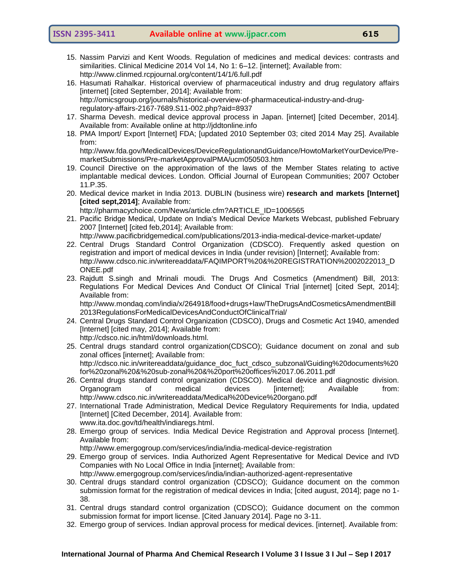- 15. Nassim Parvizi and Kent Woods. Regulation of medicines and medical devices: contrasts and similarities. Clinical Medicine 2014 Vol 14, No 1: 6–12. [internet]; Available from: <http://www.clinmed.rcpjournal.org/content/14/1/6.full.pdf>
- 16. Hasumati Rahalkar. Historical overview of pharmaceutical industry and drug regulatory affairs [internet] [cited September, 2014]; Available from: [http://omicsgroup.org/journals/historical-overview-of-pharmaceutical-industry-and-drug](http://omicsgroup.org/journals/historical-overview-of-pharmaceutical-industry-and-drug-regulatory-affairs-2167-7689.S11-002.php?aid=8937)[regulatory-affairs-2167-7689.S11-002.php?aid=8937](http://omicsgroup.org/journals/historical-overview-of-pharmaceutical-industry-and-drug-regulatory-affairs-2167-7689.S11-002.php?aid=8937)

17. Sharma Devesh. medical device approval process in Japan. [internet] [cited December, 2014]. Available from: Available online at [http://jddtonline.info](http://jddtonline.info/)

18. PMA Import/ Export [Internet] FDA; [updated 2010 September 03; cited 2014 May 25]. Available from:

[http://www.fda.gov/MedicalDevices/DeviceRegulationandGuidance/HowtoMarketYourDevice/Pre](http://www.fda.gov/MedicalDevices/DeviceRegulationandGuidance/HowtoMarketYourDevice/Pre-marketSubmissions/Pre-marketApprovalPMA/ucm050503.htm)[marketSubmissions/Pre-marketApprovalPMA/ucm050503.htm](http://www.fda.gov/MedicalDevices/DeviceRegulationandGuidance/HowtoMarketYourDevice/Pre-marketSubmissions/Pre-marketApprovalPMA/ucm050503.htm)

- 19. Council Directive on the approximation of the laws of the Member States relating to active implantable medical devices. London. Official Journal of European Communities; 2007 October 11.P.35.
- 20. Medical device market in India 2013. DUBLIN (business wire) **research and markets [Internet] [cited sept,2014]**; Available from:

[http://pharmacychoice.com/News/article.cfm?ARTICLE\\_ID=1006565](http://pharmacychoice.com/News/article.cfm?ARTICLE_ID=1006565)

21. Pacific Bridge Medical, Update on India's Medical Device Markets Webcast, published February 2007 [Internet] [cited feb,2014]; Available from:

<http://www.pacificbridgemedical.com/publications/2013-india-medical-device-market-update/>

- 22. Central Drugs Standard Control Organization (CDSCO). Frequently asked question on registration and import of medical devices in India (under revision) [Internet]; Available from: [http://www.cdsco.nic.in/writereaddata/FAQIMPORT%20&%20REGISTRATION%2002022013\\_D](http://www.cdsco.nic.in/writereaddata/FAQIMPORT%20&%20REGISTRATION%2002022013_DONEE.pdf) [ONEE.pdf](http://www.cdsco.nic.in/writereaddata/FAQIMPORT%20&%20REGISTRATION%2002022013_DONEE.pdf)
- 23. Rajdutt S.singh and Mrinali moudi. The Drugs And Cosmetics (Amendment) Bill, 2013: Regulations For Medical Devices And Conduct Of Clinical Trial [internet] [cited Sept, 2014]; Available from:

[http://www.mondaq.com/india/x/264918/food+drugs+law/TheDrugsAndCosmeticsAmendmentBill](http://www.mondaq.com/india/x/264918/food+drugs+law/TheDrugsAndCosmeticsAmendmentBill2013RegulationsForMedicalDevicesAndConductOfClinicalTrial/) [2013RegulationsForMedicalDevicesAndConductOfClinicalTrial/](http://www.mondaq.com/india/x/264918/food+drugs+law/TheDrugsAndCosmeticsAmendmentBill2013RegulationsForMedicalDevicesAndConductOfClinicalTrial/)

- 24. Central Drugs Standard Control Organization (CDSCO), Drugs and Cosmetic Act 1940, amended [Internet] [cited may, 2014]; Available from: [http://cdsco.nic.in/html/downloads.html.](http://cdsco.nic.in/html/downloads.html)
- 25. Central drugs standard control organization(CDSCO); Guidance document on zonal and sub zonal offices [internet]; Available from: http://cdsco.nic.in/writereaddata/guidance\_doc\_fuct\_cdsco\_subzonal/Guiding%20documents%20 for%20zonal%20&%20sub-zonal%20&%20port%20offices%2017.06.2011.pdf
- 26. Central drugs standard control organization (CDSCO). Medical device and diagnostic division.<br>Organogram of medical devices linternet!: Available from: Organogram of medical devices [internet]; Available from: http://www.cdsco.nic.in/writereaddata/Medical%20Device%20organo.pdf
- 27. International Trade Administration, Medical Device Regulatory Requirements for India, updated [Internet] [Cited December, 2014]. Available from: [www.ita.doc.gov/td/health/indiaregs.html.](http://www.ita.doc.gov/td/health/indiaregs.html)
- 28. Emergo group of services. India Medical Device Registration and Approval process [Internet]. Available from:

http://www.emergogroup.com/services/india/india-medical-device-registration

- 29. Emergo group of services. India Authorized Agent Representative for Medical Device and IVD Companies with No Local Office in India [internet]; Available from:
- http://www.emergogroup.com/services/india/indian-authorized-agent-representative
- 30. Central drugs standard control organization (CDSCO); Guidance document on the common submission format for the registration of medical devices in India; [cited august, 2014]; page no 1- 38.
- 31. Central drugs standard control organization (CDSCO); Guidance document on the common submission format for import license. [Cited January 2014]. Page no 3-11.
- 32. Emergo group of services. Indian approval process for medical devices. [internet]. Available from: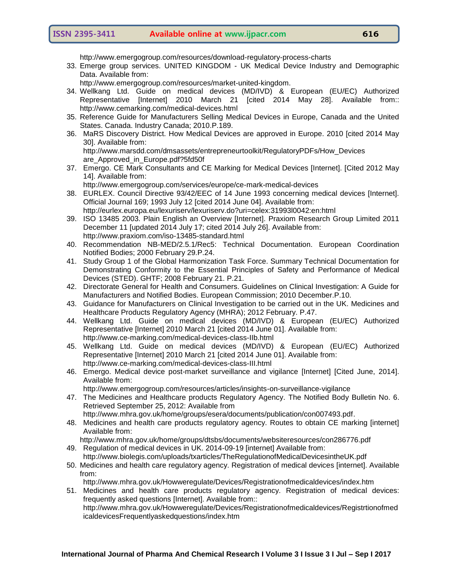<http://www.emergogroup.com/resources/download-regulatory-process-charts>

33. Emerge group services. UNITED KINGDOM - UK Medical Device Industry and Demographic Data. Available from:

[http://www.emergogroup.com/resources/market-united-kingdom.](http://www.emergogroup.com/resources/market-united-kingdom)

- 34. Wellkang Ltd. Guide on medical devices (MD/IVD) & European (EU/EC) Authorized Representative [Internet] 2010 March 21 [cited 2014 May 28]. Available from:: <http://www.cemarking.com/medical-devices.html>
- 35. Reference Guide for Manufacturers Selling Medical Devices in Europe, Canada and the United States. Canada. Industry Canada; 2010.P.189.
- 36. MaRS Discovery District. How Medical Devices are approved in Europe. 2010 [cited 2014 May 30]. Available from: [http://www.marsdd.com/dmsassets/entrepreneurtoolkit/RegulatoryPDFs/How\\_Devices](http://www.marsdd.com/dmsassets/entrepreneurtoolkit/RegulatoryPDFs/How_Devices%20are_Approved_in_Europe.pdf?5fd50f)  are Approved in Europe.pdf?5fd50f
- 37. Emergo. CE Mark Consultants and CE Marking for Medical Devices [Internet]. [Cited 2012 May 14]. Available from:

<http://www.emergogroup.com/services/europe/ce-mark-medical-devices>

- 38. EURLEX. Council Directive 93/42/EEC of 14 June 1993 concerning medical devices [Internet]. Official Journal 169; 1993 July 12 [cited 2014 June 04]. Available from: [http://eurlex.europa.eu/lexuriserv/lexuriserv.do?uri=celex:31993l0042:en:html](http://eurlex.europa.eu/LexUriServ/LexUriServ.do?uri=CELEX:31993L0042:EN:HTML)
- 39. ISO 13485 2003. Plain English an Overview [Internet]. Praxiom Research Group Limited 2011 December 11 [updated 2014 July 17; cited 2014 July 26]. Available from: <http://www.praxiom.com/iso-13485-standard.html>
- 40. Recommendation NB-MED/2.5.1/Rec5: Technical Documentation. European Coordination Notified Bodies; 2000 February 29.P.24.
- 41. Study Group 1 of the Global Harmonization Task Force. Summary Technical Documentation for Demonstrating Conformity to the Essential Principles of Safety and Performance of Medical Devices (STED). GHTF; 2008 February 21. P.21.
- 42. Directorate General for Health and Consumers. Guidelines on Clinical Investigation: A Guide for Manufacturers and Notified Bodies. European Commission; 2010 December.P.10.
- 43. Guidance for Manufacturers on Clinical Investigation to be carried out in the UK. Medicines and Healthcare Products Regulatory Agency (MHRA); 2012 February. P.47.
- 44. Wellkang Ltd. Guide on medical devices (MD/IVD) & European (EU/EC) Authorized Representative [Internet] 2010 March 21 [cited 2014 June 01]. Available from: <http://www.ce-marking.com/medical-devices-class-IIb.html>
- 45. Wellkang Ltd. Guide on medical devices (MD/IVD) & European (EU/EC) Authorized Representative [Internet] 2010 March 21 [cited 2014 June 01]. Available from: <http://www.ce-marking.com/medical-devices-class-III.html>
- 46. Emergo. Medical device post-market surveillance and vigilance [Internet] [Cited June, 2014]. Available from:

<http://www.emergogroup.com/resources/articles/insights-on-surveillance-vigilance>

- 47. The Medicines and Healthcare products Regulatory Agency. The Notified Body Bulletin No. 6. Retrieved September 25, 2012: Available from
	- [http://www.mhra.gov.uk/home/groups/esera/documents/publication/con007493.pdf.](http://www.mhra.gov.uk/home/groups/esera/documents/publication/con007493.pdf)
- 48. Medicines and health care products regulatory agency. Routes to obtain CE marking [internet] Available from:
- <http://www.mhra.gov.uk/home/groups/dtsbs/documents/websiteresources/con286776.pdf> 49. Regulation of medical devices in UK. 2014-09-19 [internet] Available from:
- <http://www.biolegis.com/uploads/txarticles/TheRegulationofMedicalDevicesintheUK.pdf>
- 50. Medicines and health care regulatory agency. Registration of medical devices [internet]. Available from:
	- <http://www.mhra.gov.uk/Howweregulate/Devices/Registrationofmedicaldevices/index.htm>
- 51. Medicines and health care products regulatory agency. Registration of medical devices: frequently asked questions [Internet]. Available from:: [http://www.mhra.gov.uk/Howweregulate/Devices/Registrationofmedicaldevices/Registrtionofmed](http://www.mhra.gov.uk/Howweregulate/Devices/Registrationofmedicaldevices/RegistrtionofmedicaldevicesFrequentlyaskedquestions/index.htm) [icaldevicesFrequentlyaskedquestions/index.htm](http://www.mhra.gov.uk/Howweregulate/Devices/Registrationofmedicaldevices/RegistrtionofmedicaldevicesFrequentlyaskedquestions/index.htm)